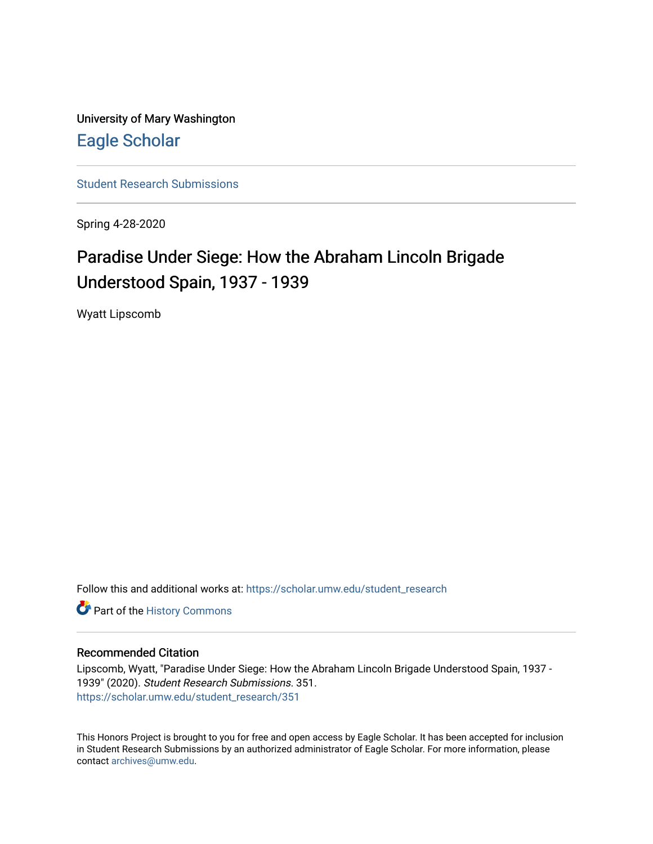University of Mary Washington [Eagle Scholar](https://scholar.umw.edu/) 

[Student Research Submissions](https://scholar.umw.edu/student_research) 

Spring 4-28-2020

# Paradise Under Siege: How the Abraham Lincoln Brigade Understood Spain, 1937 - 1939

Wyatt Lipscomb

Follow this and additional works at: [https://scholar.umw.edu/student\\_research](https://scholar.umw.edu/student_research?utm_source=scholar.umw.edu%2Fstudent_research%2F351&utm_medium=PDF&utm_campaign=PDFCoverPages)

Part of the [History Commons](http://network.bepress.com/hgg/discipline/489?utm_source=scholar.umw.edu%2Fstudent_research%2F351&utm_medium=PDF&utm_campaign=PDFCoverPages) 

## Recommended Citation

Lipscomb, Wyatt, "Paradise Under Siege: How the Abraham Lincoln Brigade Understood Spain, 1937 - 1939" (2020). Student Research Submissions. 351. [https://scholar.umw.edu/student\\_research/351](https://scholar.umw.edu/student_research/351?utm_source=scholar.umw.edu%2Fstudent_research%2F351&utm_medium=PDF&utm_campaign=PDFCoverPages)

This Honors Project is brought to you for free and open access by Eagle Scholar. It has been accepted for inclusion in Student Research Submissions by an authorized administrator of Eagle Scholar. For more information, please contact [archives@umw.edu](mailto:archives@umw.edu).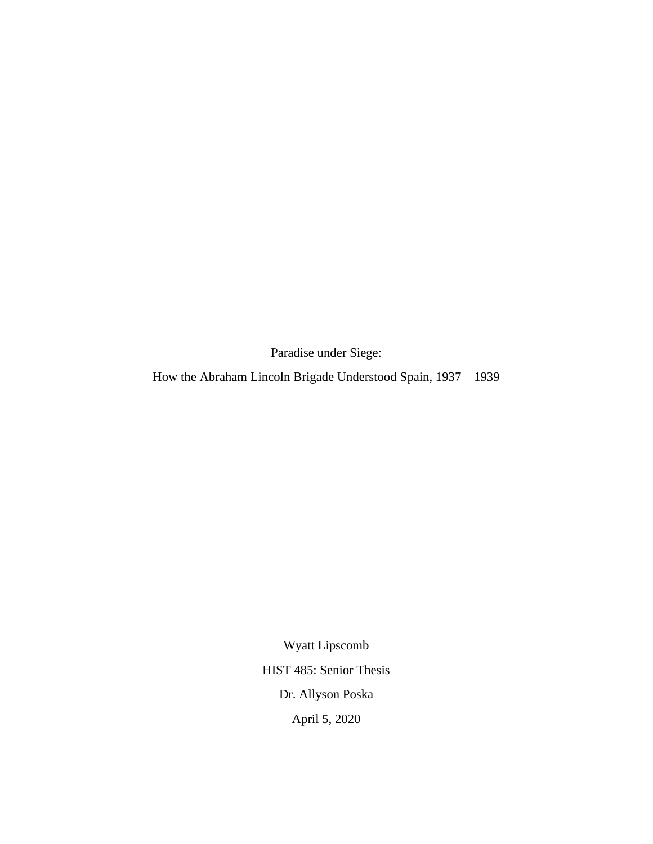Paradise under Siege:

How the Abraham Lincoln Brigade Understood Spain, 1937 – 1939

Wyatt Lipscomb HIST 485: Senior Thesis Dr. Allyson Poska April 5, 2020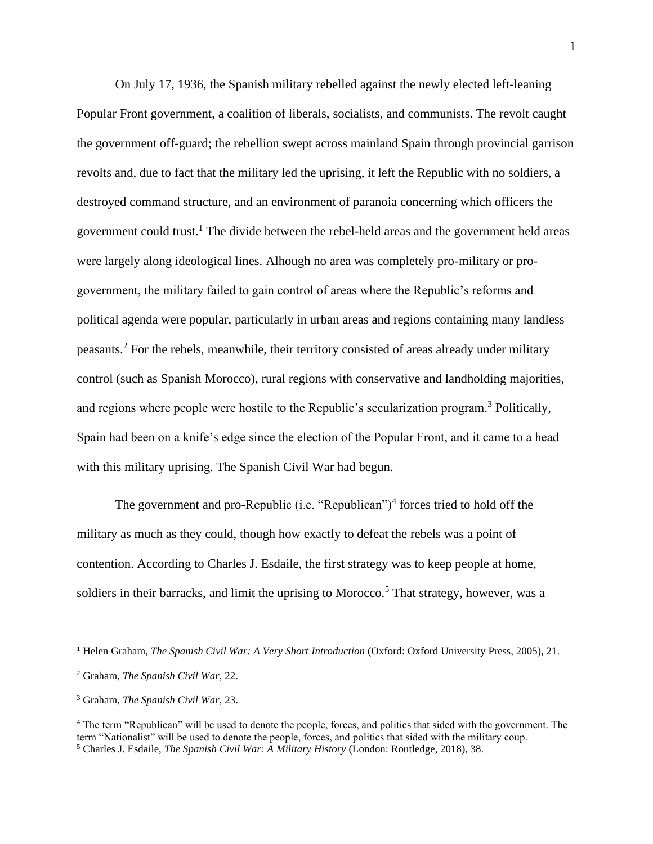On July 17, 1936, the Spanish military rebelled against the newly elected left-leaning Popular Front government, a coalition of liberals, socialists, and communists. The revolt caught the government off-guard; the rebellion swept across mainland Spain through provincial garrison revolts and, due to fact that the military led the uprising, it left the Republic with no soldiers, a destroyed command structure, and an environment of paranoia concerning which officers the government could trust.<sup>1</sup> The divide between the rebel-held areas and the government held areas were largely along ideological lines. Alhough no area was completely pro-military or progovernment, the military failed to gain control of areas where the Republic's reforms and political agenda were popular, particularly in urban areas and regions containing many landless peasants.<sup>2</sup> For the rebels, meanwhile, their territory consisted of areas already under military control (such as Spanish Morocco), rural regions with conservative and landholding majorities, and regions where people were hostile to the Republic's secularization program.<sup>3</sup> Politically, Spain had been on a knife's edge since the election of the Popular Front, and it came to a head with this military uprising. The Spanish Civil War had begun.

The government and pro-Republic (i.e. "Republican")<sup>4</sup> forces tried to hold off the military as much as they could, though how exactly to defeat the rebels was a point of contention. According to Charles J. Esdaile, the first strategy was to keep people at home, soldiers in their barracks, and limit the uprising to Morocco.<sup>5</sup> That strategy, however, was a

<sup>&</sup>lt;sup>1</sup> Helen Graham, *The Spanish Civil War: A Very Short Introduction* (Oxford: Oxford University Press, 2005), 21.

<sup>2</sup> Graham, *The Spanish Civil War*, 22.

<sup>3</sup> Graham, *The Spanish Civil War*, 23.

<sup>4</sup> The term "Republican" will be used to denote the people, forces, and politics that sided with the government. The term "Nationalist" will be used to denote the people, forces, and politics that sided with the military coup. <sup>5</sup> Charles J. Esdaile, *The Spanish Civil War: A Military History* (London: Routledge, 2018), 38.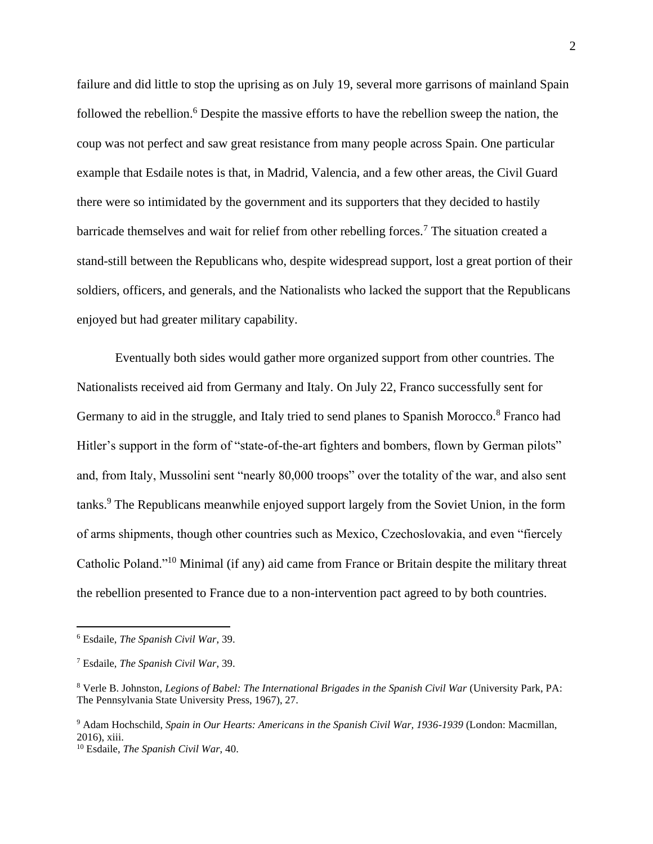failure and did little to stop the uprising as on July 19, several more garrisons of mainland Spain followed the rebellion.<sup>6</sup> Despite the massive efforts to have the rebellion sweep the nation, the coup was not perfect and saw great resistance from many people across Spain. One particular example that Esdaile notes is that, in Madrid, Valencia, and a few other areas, the Civil Guard there were so intimidated by the government and its supporters that they decided to hastily barricade themselves and wait for relief from other rebelling forces.<sup>7</sup> The situation created a stand-still between the Republicans who, despite widespread support, lost a great portion of their soldiers, officers, and generals, and the Nationalists who lacked the support that the Republicans enjoyed but had greater military capability.

Eventually both sides would gather more organized support from other countries. The Nationalists received aid from Germany and Italy. On July 22, Franco successfully sent for Germany to aid in the struggle, and Italy tried to send planes to Spanish Morocco.<sup>8</sup> Franco had Hitler's support in the form of "state-of-the-art fighters and bombers, flown by German pilots" and, from Italy, Mussolini sent "nearly 80,000 troops" over the totality of the war, and also sent tanks.<sup>9</sup> The Republicans meanwhile enjoyed support largely from the Soviet Union, in the form of arms shipments, though other countries such as Mexico, Czechoslovakia, and even "fiercely Catholic Poland."<sup>10</sup> Minimal (if any) aid came from France or Britain despite the military threat the rebellion presented to France due to a non-intervention pact agreed to by both countries.

<sup>6</sup> Esdaile, *The Spanish Civil War*, 39.

<sup>7</sup> Esdaile, *The Spanish Civil War*, 39.

<sup>8</sup> Verle B. Johnston, *Legions of Babel: The International Brigades in the Spanish Civil War* (University Park, PA: The Pennsylvania State University Press, 1967), 27.

<sup>9</sup> Adam Hochschild, *Spain in Our Hearts: Americans in the Spanish Civil War, 1936-1939* (London: Macmillan, 2016), xiii.

<sup>10</sup> Esdaile, *The Spanish Civil War*, 40.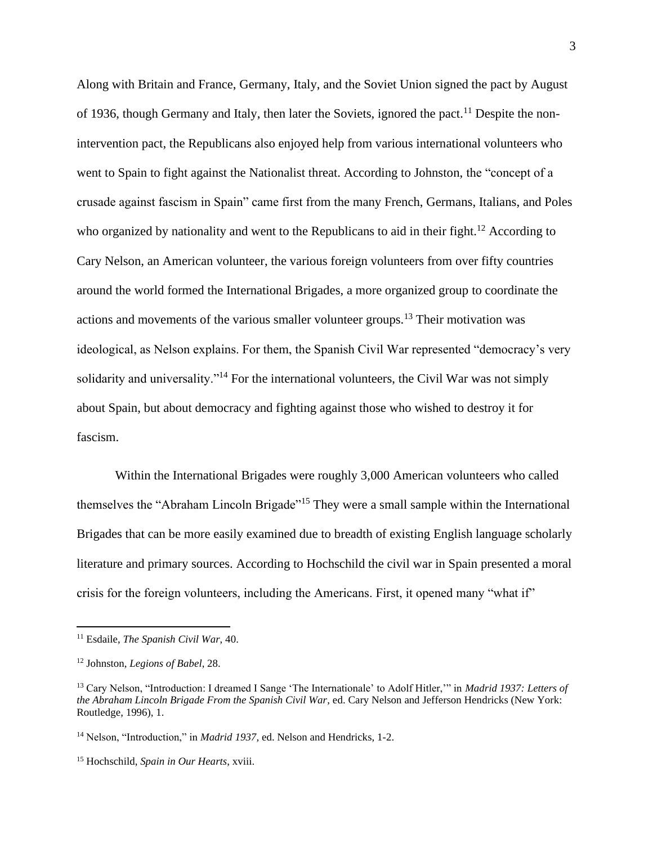Along with Britain and France, Germany, Italy, and the Soviet Union signed the pact by August of 1936, though Germany and Italy, then later the Soviets, ignored the pact.<sup>11</sup> Despite the nonintervention pact, the Republicans also enjoyed help from various international volunteers who went to Spain to fight against the Nationalist threat. According to Johnston, the "concept of a crusade against fascism in Spain" came first from the many French, Germans, Italians, and Poles who organized by nationality and went to the Republicans to aid in their fight.<sup>12</sup> According to Cary Nelson, an American volunteer, the various foreign volunteers from over fifty countries around the world formed the International Brigades, a more organized group to coordinate the actions and movements of the various smaller volunteer groups.<sup>13</sup> Their motivation was ideological, as Nelson explains. For them, the Spanish Civil War represented "democracy's very solidarity and universality."<sup>14</sup> For the international volunteers, the Civil War was not simply about Spain, but about democracy and fighting against those who wished to destroy it for fascism.

Within the International Brigades were roughly 3,000 American volunteers who called themselves the "Abraham Lincoln Brigade"<sup>15</sup> They were a small sample within the International Brigades that can be more easily examined due to breadth of existing English language scholarly literature and primary sources. According to Hochschild the civil war in Spain presented a moral crisis for the foreign volunteers, including the Americans. First, it opened many "what if"

<sup>11</sup> Esdaile, *The Spanish Civil War*, 40.

<sup>12</sup> Johnston, *Legions of Babel*, 28.

<sup>13</sup> Cary Nelson, "Introduction: I dreamed I Sange 'The Internationale' to Adolf Hitler,'" in *Madrid 1937: Letters of the Abraham Lincoln Brigade From the Spanish Civil War*, ed. Cary Nelson and Jefferson Hendricks (New York: Routledge, 1996), 1.

<sup>&</sup>lt;sup>14</sup> Nelson, "Introduction," in *Madrid 1937*, ed. Nelson and Hendricks, 1-2.

<sup>15</sup> Hochschild, *Spain in Our Hearts*, xviii.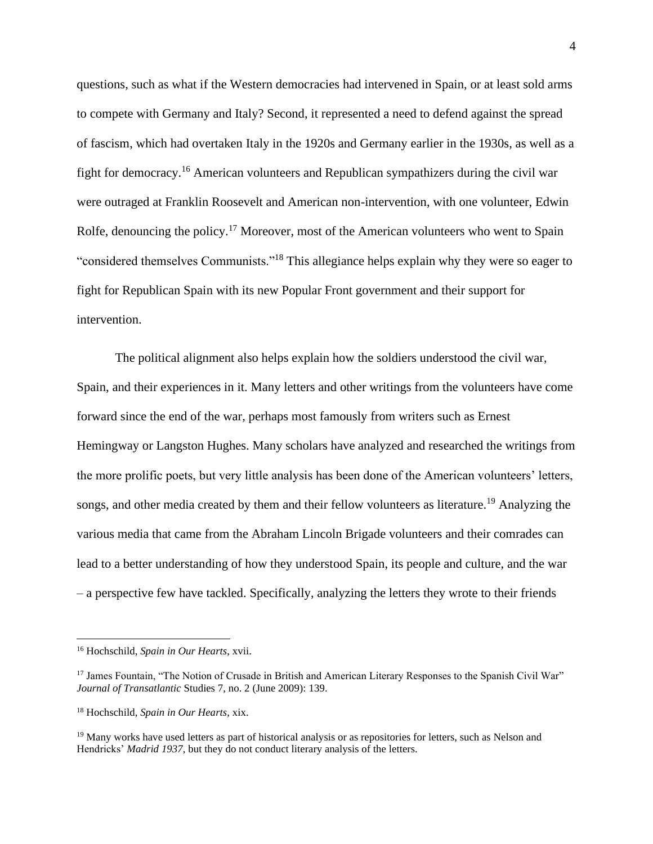questions, such as what if the Western democracies had intervened in Spain, or at least sold arms to compete with Germany and Italy? Second, it represented a need to defend against the spread of fascism, which had overtaken Italy in the 1920s and Germany earlier in the 1930s, as well as a fight for democracy.<sup>16</sup> American volunteers and Republican sympathizers during the civil war were outraged at Franklin Roosevelt and American non-intervention, with one volunteer, Edwin Rolfe, denouncing the policy.<sup>17</sup> Moreover, most of the American volunteers who went to Spain "considered themselves Communists."<sup>18</sup> This allegiance helps explain why they were so eager to fight for Republican Spain with its new Popular Front government and their support for intervention.

The political alignment also helps explain how the soldiers understood the civil war, Spain, and their experiences in it. Many letters and other writings from the volunteers have come forward since the end of the war, perhaps most famously from writers such as Ernest Hemingway or Langston Hughes. Many scholars have analyzed and researched the writings from the more prolific poets, but very little analysis has been done of the American volunteers' letters, songs, and other media created by them and their fellow volunteers as literature.<sup>19</sup> Analyzing the various media that came from the Abraham Lincoln Brigade volunteers and their comrades can lead to a better understanding of how they understood Spain, its people and culture, and the war – a perspective few have tackled. Specifically, analyzing the letters they wrote to their friends

<sup>16</sup> Hochschild, *Spain in Our Hearts*, xvii.

<sup>&</sup>lt;sup>17</sup> James Fountain, "The Notion of Crusade in British and American Literary Responses to the Spanish Civil War" *Journal of Transatlantic* Studies 7, no. 2 (June 2009): 139.

<sup>18</sup> Hochschild, *Spain in Our Hearts*, xix.

<sup>&</sup>lt;sup>19</sup> Many works have used letters as part of historical analysis or as repositories for letters, such as Nelson and Hendricks' *Madrid 1937*, but they do not conduct literary analysis of the letters.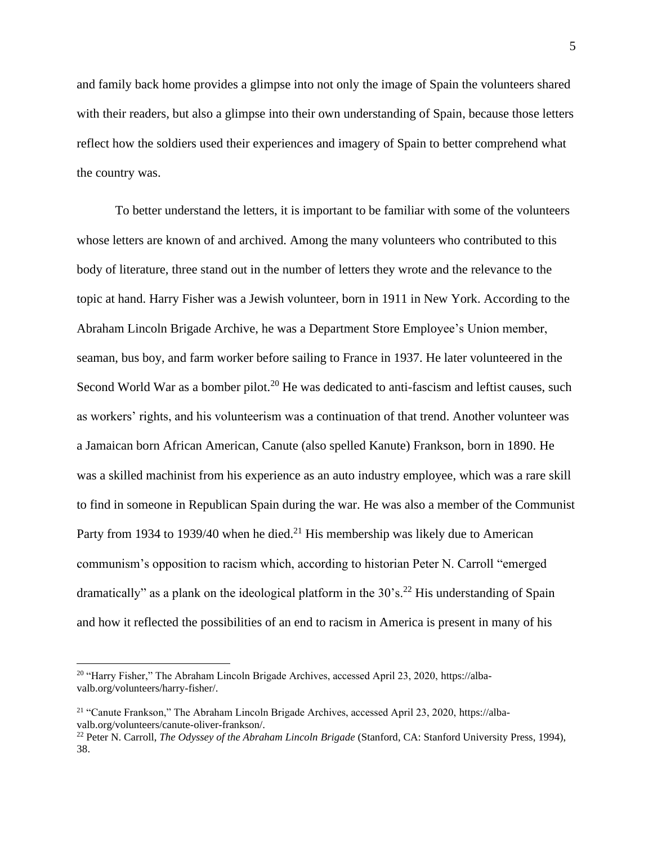and family back home provides a glimpse into not only the image of Spain the volunteers shared with their readers, but also a glimpse into their own understanding of Spain, because those letters reflect how the soldiers used their experiences and imagery of Spain to better comprehend what the country was.

To better understand the letters, it is important to be familiar with some of the volunteers whose letters are known of and archived. Among the many volunteers who contributed to this body of literature, three stand out in the number of letters they wrote and the relevance to the topic at hand. Harry Fisher was a Jewish volunteer, born in 1911 in New York. According to the Abraham Lincoln Brigade Archive, he was a Department Store Employee's Union member, seaman, bus boy, and farm worker before sailing to France in 1937. He later volunteered in the Second World War as a bomber pilot.<sup>20</sup> He was dedicated to anti-fascism and leftist causes, such as workers' rights, and his volunteerism was a continuation of that trend. Another volunteer was a Jamaican born African American, Canute (also spelled Kanute) Frankson, born in 1890. He was a skilled machinist from his experience as an auto industry employee, which was a rare skill to find in someone in Republican Spain during the war. He was also a member of the Communist Party from 1934 to 1939/40 when he died.<sup>21</sup> His membership was likely due to American communism's opposition to racism which, according to historian Peter N. Carroll "emerged dramatically" as a plank on the ideological platform in the  $30^{\circ}$ s.<sup>22</sup> His understanding of Spain and how it reflected the possibilities of an end to racism in America is present in many of his

<sup>&</sup>lt;sup>20</sup> "Harry Fisher," The Abraham Lincoln Brigade Archives, accessed April 23, 2020, https://albavalb.org/volunteers/harry-fisher/.

<sup>21</sup> "Canute Frankson," The Abraham Lincoln Brigade Archives, accessed April 23, 2020, https://albavalb.org/volunteers/canute-oliver-frankson/.

<sup>22</sup> Peter N. Carroll, *The Odyssey of the Abraham Lincoln Brigade* (Stanford, CA: Stanford University Press, 1994), 38.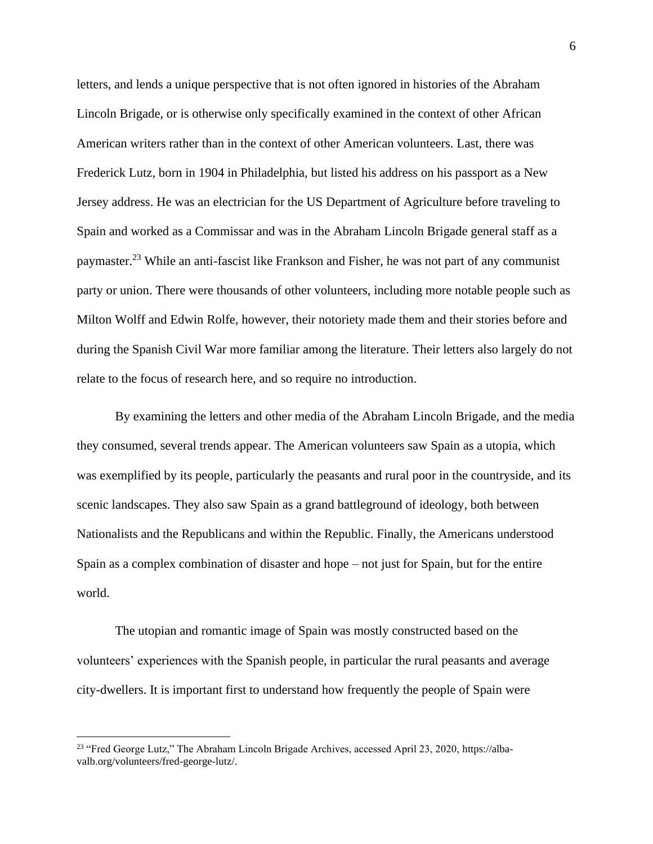letters, and lends a unique perspective that is not often ignored in histories of the Abraham Lincoln Brigade, or is otherwise only specifically examined in the context of other African American writers rather than in the context of other American volunteers. Last, there was Frederick Lutz, born in 1904 in Philadelphia, but listed his address on his passport as a New Jersey address. He was an electrician for the US Department of Agriculture before traveling to Spain and worked as a Commissar and was in the Abraham Lincoln Brigade general staff as a paymaster.<sup>23</sup> While an anti-fascist like Frankson and Fisher, he was not part of any communist party or union. There were thousands of other volunteers, including more notable people such as Milton Wolff and Edwin Rolfe, however, their notoriety made them and their stories before and during the Spanish Civil War more familiar among the literature. Their letters also largely do not relate to the focus of research here, and so require no introduction.

By examining the letters and other media of the Abraham Lincoln Brigade, and the media they consumed, several trends appear. The American volunteers saw Spain as a utopia, which was exemplified by its people, particularly the peasants and rural poor in the countryside, and its scenic landscapes. They also saw Spain as a grand battleground of ideology, both between Nationalists and the Republicans and within the Republic. Finally, the Americans understood Spain as a complex combination of disaster and hope – not just for Spain, but for the entire world.

The utopian and romantic image of Spain was mostly constructed based on the volunteers' experiences with the Spanish people, in particular the rural peasants and average city-dwellers. It is important first to understand how frequently the people of Spain were

<sup>&</sup>lt;sup>23</sup> "Fred George Lutz," The Abraham Lincoln Brigade Archives, accessed April 23, 2020, https://albavalb.org/volunteers/fred-george-lutz/.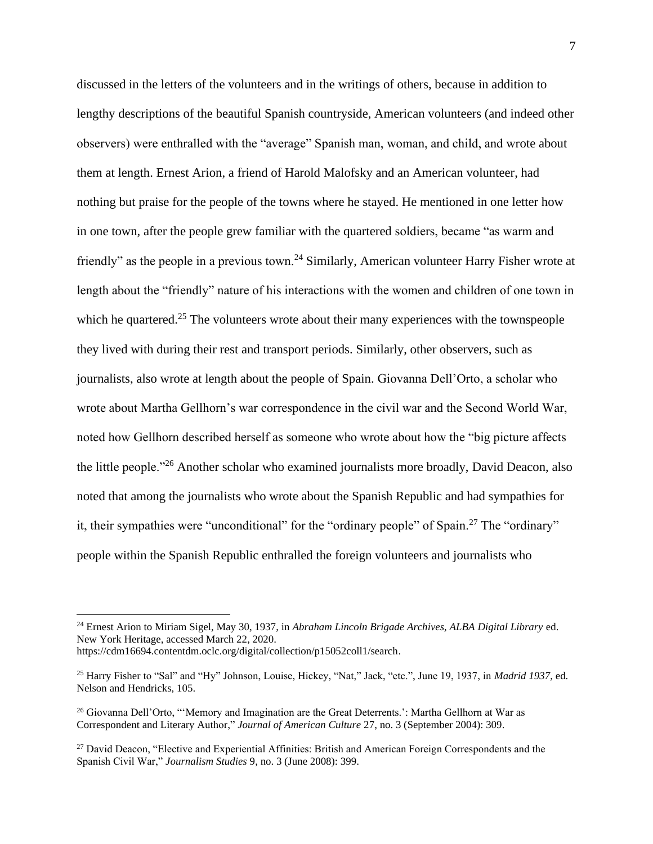discussed in the letters of the volunteers and in the writings of others, because in addition to lengthy descriptions of the beautiful Spanish countryside, American volunteers (and indeed other observers) were enthralled with the "average" Spanish man, woman, and child, and wrote about them at length. Ernest Arion, a friend of Harold Malofsky and an American volunteer, had nothing but praise for the people of the towns where he stayed. He mentioned in one letter how in one town, after the people grew familiar with the quartered soldiers, became "as warm and friendly" as the people in a previous town.<sup>24</sup> Similarly, American volunteer Harry Fisher wrote at length about the "friendly" nature of his interactions with the women and children of one town in which he quartered.<sup>25</sup> The volunteers wrote about their many experiences with the townspeople they lived with during their rest and transport periods. Similarly, other observers, such as journalists, also wrote at length about the people of Spain. Giovanna Dell'Orto, a scholar who wrote about Martha Gellhorn's war correspondence in the civil war and the Second World War, noted how Gellhorn described herself as someone who wrote about how the "big picture affects the little people."<sup>26</sup> Another scholar who examined journalists more broadly, David Deacon, also noted that among the journalists who wrote about the Spanish Republic and had sympathies for it, their sympathies were "unconditional" for the "ordinary people" of Spain.<sup>27</sup> The "ordinary" people within the Spanish Republic enthralled the foreign volunteers and journalists who

<sup>24</sup> Ernest Arion to Miriam Sigel, May 30, 1937, in *Abraham Lincoln Brigade Archives, ALBA Digital Library* ed. New York Heritage, accessed March 22, 2020.

https://cdm16694.contentdm.oclc.org/digital/collection/p15052coll1/search.

<sup>25</sup> Harry Fisher to "Sal" and "Hy" Johnson, Louise, Hickey, "Nat," Jack, "etc.", June 19, 1937, in *Madrid 1937*, ed. Nelson and Hendricks, 105.

<sup>26</sup> Giovanna Dell'Orto, "'Memory and Imagination are the Great Deterrents.': Martha Gellhorn at War as Correspondent and Literary Author," *Journal of American Culture* 27, no. 3 (September 2004): 309.

<sup>&</sup>lt;sup>27</sup> David Deacon, "Elective and Experiential Affinities: British and American Foreign Correspondents and the Spanish Civil War," *Journalism Studies* 9, no. 3 (June 2008): 399.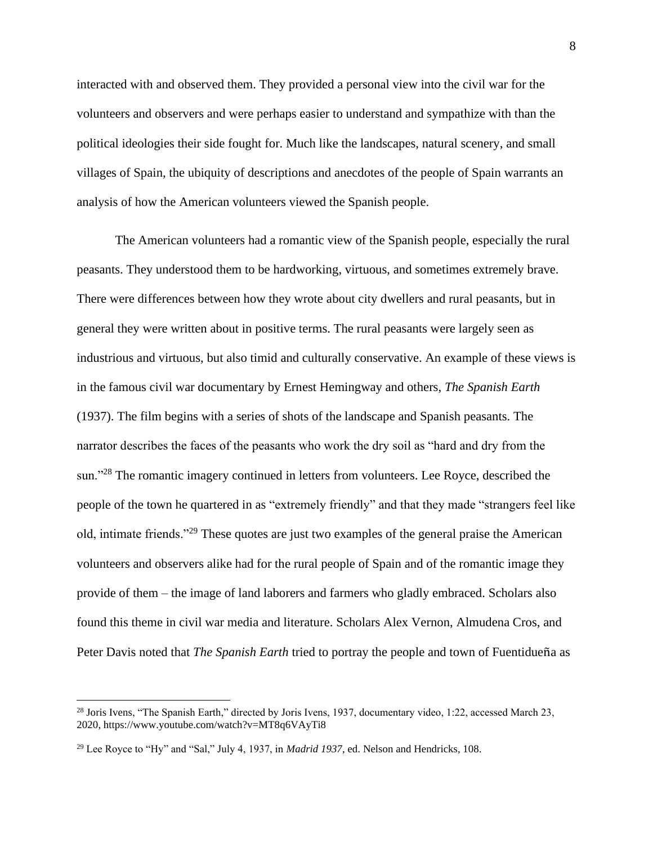interacted with and observed them. They provided a personal view into the civil war for the volunteers and observers and were perhaps easier to understand and sympathize with than the political ideologies their side fought for. Much like the landscapes, natural scenery, and small villages of Spain, the ubiquity of descriptions and anecdotes of the people of Spain warrants an analysis of how the American volunteers viewed the Spanish people.

The American volunteers had a romantic view of the Spanish people, especially the rural peasants. They understood them to be hardworking, virtuous, and sometimes extremely brave. There were differences between how they wrote about city dwellers and rural peasants, but in general they were written about in positive terms. The rural peasants were largely seen as industrious and virtuous, but also timid and culturally conservative. An example of these views is in the famous civil war documentary by Ernest Hemingway and others, *The Spanish Earth* (1937). The film begins with a series of shots of the landscape and Spanish peasants. The narrator describes the faces of the peasants who work the dry soil as "hard and dry from the sun."<sup>28</sup> The romantic imagery continued in letters from volunteers. Lee Royce, described the people of the town he quartered in as "extremely friendly" and that they made "strangers feel like old, intimate friends."<sup>29</sup> These quotes are just two examples of the general praise the American volunteers and observers alike had for the rural people of Spain and of the romantic image they provide of them – the image of land laborers and farmers who gladly embraced. Scholars also found this theme in civil war media and literature. Scholars Alex Vernon, Almudena Cros, and Peter Davis noted that *The Spanish Earth* tried to portray the people and town of Fuentidueña as

<sup>&</sup>lt;sup>28</sup> Joris Ivens, "The Spanish Earth," directed by Joris Ivens, 1937, documentary video, 1:22, accessed March 23, 2020, https://www.youtube.com/watch?v=MT8q6VAyTi8

<sup>29</sup> Lee Royce to "Hy" and "Sal," July 4, 1937, in *Madrid 1937*, ed. Nelson and Hendricks, 108.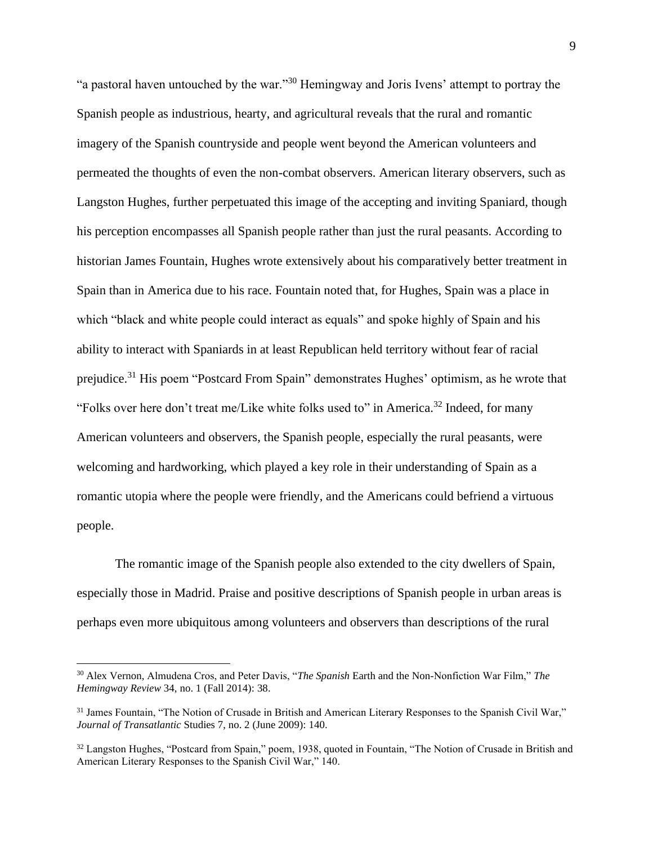"a pastoral haven untouched by the war."<sup>30</sup> Hemingway and Joris Ivens' attempt to portray the Spanish people as industrious, hearty, and agricultural reveals that the rural and romantic imagery of the Spanish countryside and people went beyond the American volunteers and permeated the thoughts of even the non-combat observers. American literary observers, such as Langston Hughes, further perpetuated this image of the accepting and inviting Spaniard, though his perception encompasses all Spanish people rather than just the rural peasants. According to historian James Fountain, Hughes wrote extensively about his comparatively better treatment in Spain than in America due to his race. Fountain noted that, for Hughes, Spain was a place in which "black and white people could interact as equals" and spoke highly of Spain and his ability to interact with Spaniards in at least Republican held territory without fear of racial prejudice.<sup>31</sup> His poem "Postcard From Spain" demonstrates Hughes' optimism, as he wrote that "Folks over here don't treat me/Like white folks used to" in America.<sup>32</sup> Indeed, for many American volunteers and observers, the Spanish people, especially the rural peasants, were welcoming and hardworking, which played a key role in their understanding of Spain as a romantic utopia where the people were friendly, and the Americans could befriend a virtuous people.

The romantic image of the Spanish people also extended to the city dwellers of Spain, especially those in Madrid. Praise and positive descriptions of Spanish people in urban areas is perhaps even more ubiquitous among volunteers and observers than descriptions of the rural

<sup>30</sup> Alex Vernon, Almudena Cros, and Peter Davis, "*The Spanish* Earth and the Non-Nonfiction War Film," *The Hemingway Review* 34, no. 1 (Fall 2014): 38.

<sup>&</sup>lt;sup>31</sup> James Fountain, "The Notion of Crusade in British and American Literary Responses to the Spanish Civil War," *Journal of Transatlantic* Studies 7, no. 2 (June 2009): 140.

<sup>&</sup>lt;sup>32</sup> Langston Hughes, "Postcard from Spain," poem, 1938, quoted in Fountain, "The Notion of Crusade in British and American Literary Responses to the Spanish Civil War," 140.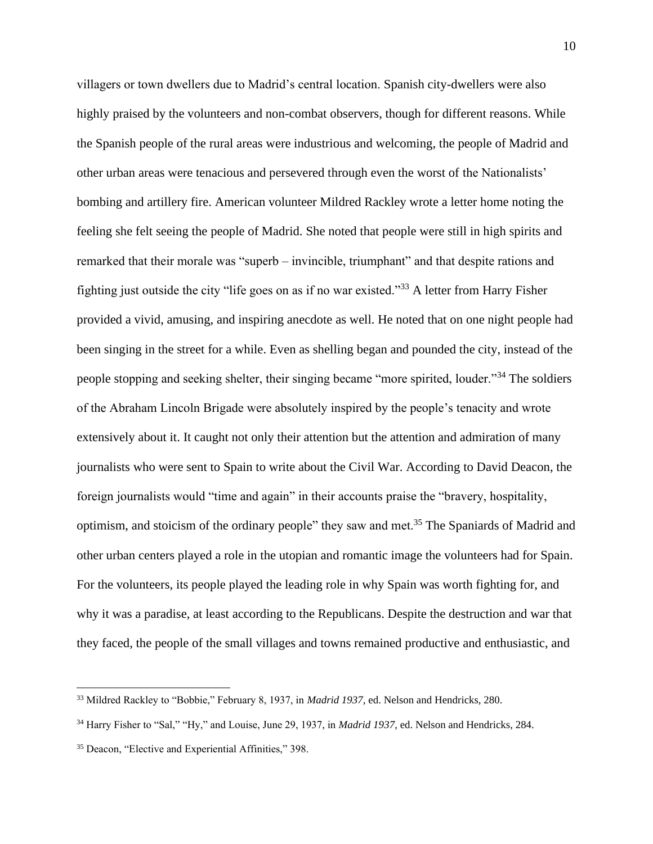villagers or town dwellers due to Madrid's central location. Spanish city-dwellers were also highly praised by the volunteers and non-combat observers, though for different reasons. While the Spanish people of the rural areas were industrious and welcoming, the people of Madrid and other urban areas were tenacious and persevered through even the worst of the Nationalists' bombing and artillery fire. American volunteer Mildred Rackley wrote a letter home noting the feeling she felt seeing the people of Madrid. She noted that people were still in high spirits and remarked that their morale was "superb – invincible, triumphant" and that despite rations and fighting just outside the city "life goes on as if no war existed."<sup>33</sup> A letter from Harry Fisher provided a vivid, amusing, and inspiring anecdote as well. He noted that on one night people had been singing in the street for a while. Even as shelling began and pounded the city, instead of the people stopping and seeking shelter, their singing became "more spirited, louder."<sup>34</sup> The soldiers of the Abraham Lincoln Brigade were absolutely inspired by the people's tenacity and wrote extensively about it. It caught not only their attention but the attention and admiration of many journalists who were sent to Spain to write about the Civil War. According to David Deacon, the foreign journalists would "time and again" in their accounts praise the "bravery, hospitality, optimism, and stoicism of the ordinary people" they saw and met.<sup>35</sup> The Spaniards of Madrid and other urban centers played a role in the utopian and romantic image the volunteers had for Spain. For the volunteers, its people played the leading role in why Spain was worth fighting for, and why it was a paradise, at least according to the Republicans. Despite the destruction and war that they faced, the people of the small villages and towns remained productive and enthusiastic, and

<sup>33</sup> Mildred Rackley to "Bobbie," February 8, 1937, in *Madrid 1937*, ed. Nelson and Hendricks, 280.

<sup>34</sup> Harry Fisher to "Sal," "Hy," and Louise, June 29, 1937, in *Madrid 1937*, ed. Nelson and Hendricks, 284.

<sup>35</sup> Deacon, "Elective and Experiential Affinities," 398.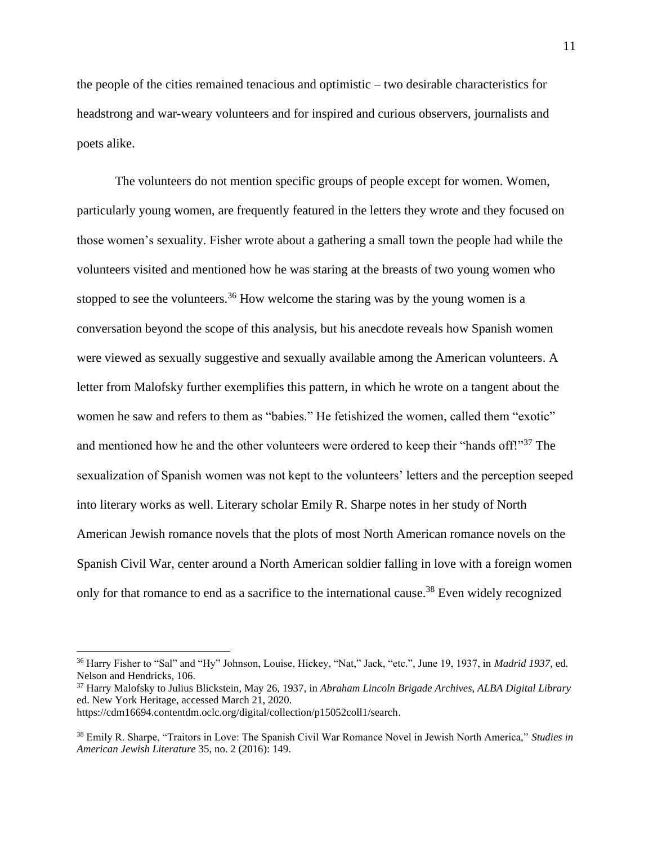the people of the cities remained tenacious and optimistic – two desirable characteristics for headstrong and war-weary volunteers and for inspired and curious observers, journalists and poets alike.

The volunteers do not mention specific groups of people except for women. Women, particularly young women, are frequently featured in the letters they wrote and they focused on those women's sexuality. Fisher wrote about a gathering a small town the people had while the volunteers visited and mentioned how he was staring at the breasts of two young women who stopped to see the volunteers.<sup>36</sup> How welcome the staring was by the young women is a conversation beyond the scope of this analysis, but his anecdote reveals how Spanish women were viewed as sexually suggestive and sexually available among the American volunteers. A letter from Malofsky further exemplifies this pattern, in which he wrote on a tangent about the women he saw and refers to them as "babies." He fetishized the women, called them "exotic" and mentioned how he and the other volunteers were ordered to keep their "hands off!"<sup>37</sup> The sexualization of Spanish women was not kept to the volunteers' letters and the perception seeped into literary works as well. Literary scholar Emily R. Sharpe notes in her study of North American Jewish romance novels that the plots of most North American romance novels on the Spanish Civil War, center around a North American soldier falling in love with a foreign women only for that romance to end as a sacrifice to the international cause.<sup>38</sup> Even widely recognized

<sup>36</sup> Harry Fisher to "Sal" and "Hy" Johnson, Louise, Hickey, "Nat," Jack, "etc.", June 19, 1937, in *Madrid 1937*, ed. Nelson and Hendricks, 106.

<sup>37</sup> Harry Malofsky to Julius Blickstein, May 26, 1937, in *Abraham Lincoln Brigade Archives, ALBA Digital Library* ed. New York Heritage, accessed March 21, 2020.

https://cdm16694.contentdm.oclc.org/digital/collection/p15052coll1/search.

<sup>38</sup> Emily R. Sharpe, "Traitors in Love: The Spanish Civil War Romance Novel in Jewish North America," *Studies in American Jewish Literature* 35, no. 2 (2016): 149.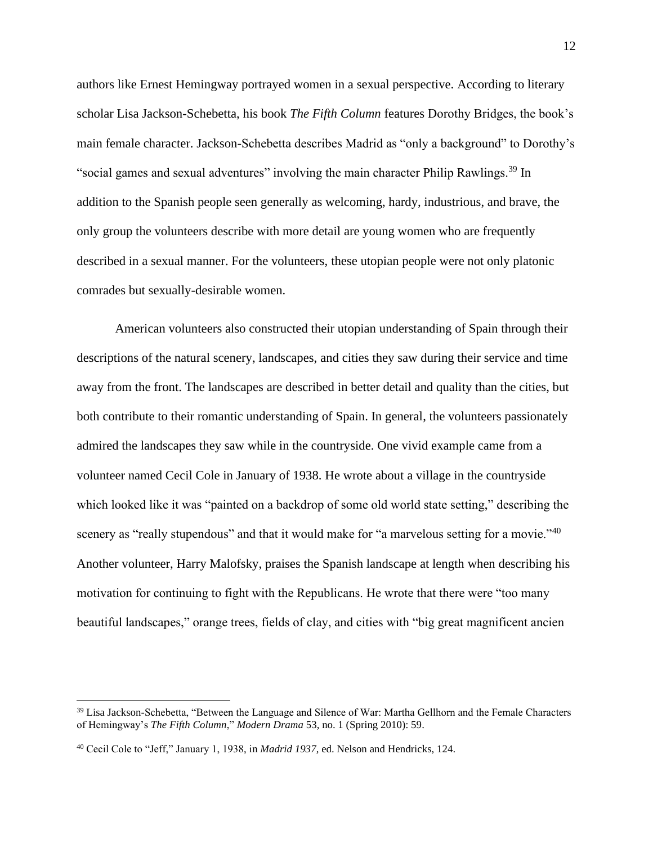authors like Ernest Hemingway portrayed women in a sexual perspective. According to literary scholar Lisa Jackson-Schebetta, his book *The Fifth Column* features Dorothy Bridges, the book's main female character. Jackson-Schebetta describes Madrid as "only a background" to Dorothy's "social games and sexual adventures" involving the main character Philip Rawlings.<sup>39</sup> In addition to the Spanish people seen generally as welcoming, hardy, industrious, and brave, the only group the volunteers describe with more detail are young women who are frequently described in a sexual manner. For the volunteers, these utopian people were not only platonic comrades but sexually-desirable women.

American volunteers also constructed their utopian understanding of Spain through their descriptions of the natural scenery, landscapes, and cities they saw during their service and time away from the front. The landscapes are described in better detail and quality than the cities, but both contribute to their romantic understanding of Spain. In general, the volunteers passionately admired the landscapes they saw while in the countryside. One vivid example came from a volunteer named Cecil Cole in January of 1938. He wrote about a village in the countryside which looked like it was "painted on a backdrop of some old world state setting," describing the scenery as "really stupendous" and that it would make for "a marvelous setting for a movie."<sup>40</sup> Another volunteer, Harry Malofsky, praises the Spanish landscape at length when describing his motivation for continuing to fight with the Republicans. He wrote that there were "too many beautiful landscapes," orange trees, fields of clay, and cities with "big great magnificent ancien

<sup>39</sup> Lisa Jackson-Schebetta, "Between the Language and Silence of War: Martha Gellhorn and the Female Characters of Hemingway's *The Fifth Column*," *Modern Drama* 53, no. 1 (Spring 2010): 59.

<sup>40</sup> Cecil Cole to "Jeff," January 1, 1938, in *Madrid 1937*, ed. Nelson and Hendricks, 124.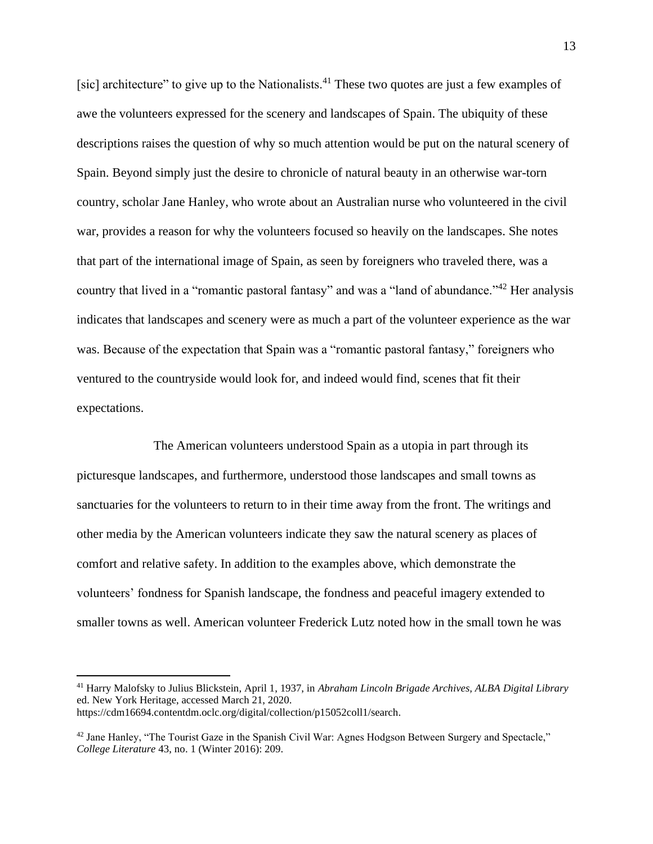[sic] architecture" to give up to the Nationalists.<sup>41</sup> These two quotes are just a few examples of awe the volunteers expressed for the scenery and landscapes of Spain. The ubiquity of these descriptions raises the question of why so much attention would be put on the natural scenery of Spain. Beyond simply just the desire to chronicle of natural beauty in an otherwise war-torn country, scholar Jane Hanley, who wrote about an Australian nurse who volunteered in the civil war, provides a reason for why the volunteers focused so heavily on the landscapes. She notes that part of the international image of Spain, as seen by foreigners who traveled there, was a country that lived in a "romantic pastoral fantasy" and was a "land of abundance."<sup>42</sup> Her analysis indicates that landscapes and scenery were as much a part of the volunteer experience as the war was. Because of the expectation that Spain was a "romantic pastoral fantasy," foreigners who ventured to the countryside would look for, and indeed would find, scenes that fit their expectations.

The American volunteers understood Spain as a utopia in part through its picturesque landscapes, and furthermore, understood those landscapes and small towns as sanctuaries for the volunteers to return to in their time away from the front. The writings and other media by the American volunteers indicate they saw the natural scenery as places of comfort and relative safety. In addition to the examples above, which demonstrate the volunteers' fondness for Spanish landscape, the fondness and peaceful imagery extended to smaller towns as well. American volunteer Frederick Lutz noted how in the small town he was

<sup>41</sup> Harry Malofsky to Julius Blickstein, April 1, 1937, in *Abraham Lincoln Brigade Archives, ALBA Digital Library* ed. New York Heritage, accessed March 21, 2020. https://cdm16694.contentdm.oclc.org/digital/collection/p15052coll1/search.

 $42$  Jane Hanley, "The Tourist Gaze in the Spanish Civil War: Agnes Hodgson Between Surgery and Spectacle," *College Literature* 43, no. 1 (Winter 2016): 209.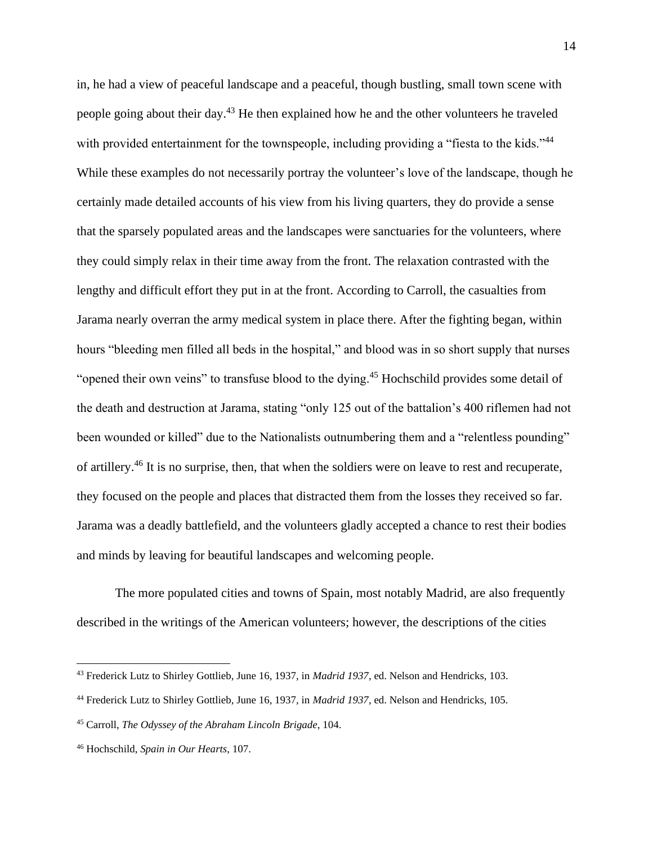in, he had a view of peaceful landscape and a peaceful, though bustling, small town scene with people going about their day.<sup>43</sup> He then explained how he and the other volunteers he traveled with provided entertainment for the townspeople, including providing a "fiesta to the kids."<sup>44</sup> While these examples do not necessarily portray the volunteer's love of the landscape, though he certainly made detailed accounts of his view from his living quarters, they do provide a sense that the sparsely populated areas and the landscapes were sanctuaries for the volunteers, where they could simply relax in their time away from the front. The relaxation contrasted with the lengthy and difficult effort they put in at the front. According to Carroll, the casualties from Jarama nearly overran the army medical system in place there. After the fighting began, within hours "bleeding men filled all beds in the hospital," and blood was in so short supply that nurses "opened their own veins" to transfuse blood to the dying.<sup>45</sup> Hochschild provides some detail of the death and destruction at Jarama, stating "only 125 out of the battalion's 400 riflemen had not been wounded or killed" due to the Nationalists outnumbering them and a "relentless pounding" of artillery.<sup>46</sup> It is no surprise, then, that when the soldiers were on leave to rest and recuperate, they focused on the people and places that distracted them from the losses they received so far. Jarama was a deadly battlefield, and the volunteers gladly accepted a chance to rest their bodies and minds by leaving for beautiful landscapes and welcoming people.

The more populated cities and towns of Spain, most notably Madrid, are also frequently described in the writings of the American volunteers; however, the descriptions of the cities

<sup>43</sup> Frederick Lutz to Shirley Gottlieb, June 16, 1937, in *Madrid 1937*, ed. Nelson and Hendricks, 103.

<sup>44</sup> Frederick Lutz to Shirley Gottlieb, June 16, 1937, in *Madrid 1937*, ed. Nelson and Hendricks, 105.

<sup>45</sup> Carroll, *The Odyssey of the Abraham Lincoln Brigade*, 104.

<sup>46</sup> Hochschild, *Spain in Our Hearts*, 107.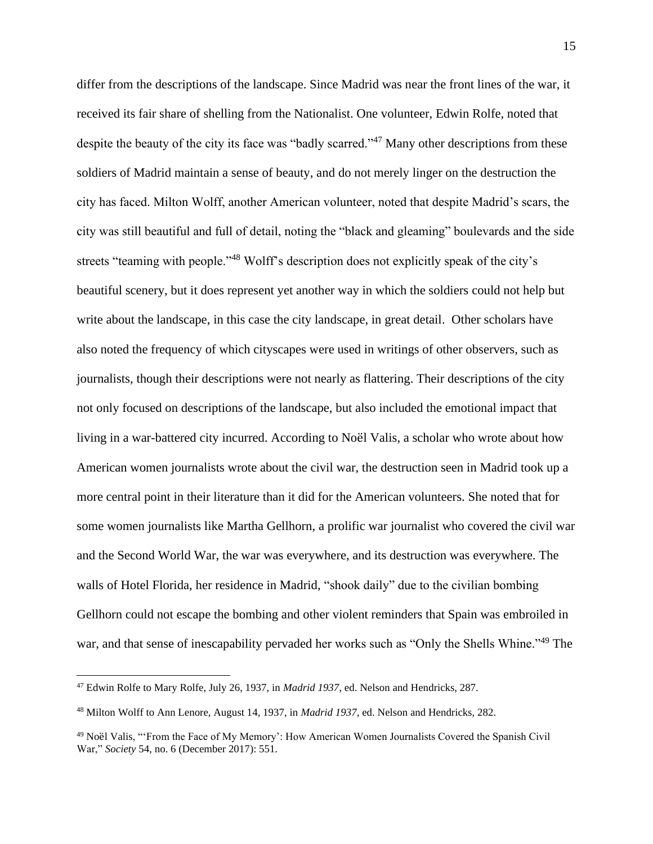differ from the descriptions of the landscape. Since Madrid was near the front lines of the war, it received its fair share of shelling from the Nationalist. One volunteer, Edwin Rolfe, noted that despite the beauty of the city its face was "badly scarred."<sup>47</sup> Many other descriptions from these soldiers of Madrid maintain a sense of beauty, and do not merely linger on the destruction the city has faced. Milton Wolff, another American volunteer, noted that despite Madrid's scars, the city was still beautiful and full of detail, noting the "black and gleaming" boulevards and the side streets "teaming with people."<sup>48</sup> Wolff's description does not explicitly speak of the city's beautiful scenery, but it does represent yet another way in which the soldiers could not help but write about the landscape, in this case the city landscape, in great detail. Other scholars have also noted the frequency of which cityscapes were used in writings of other observers, such as journalists, though their descriptions were not nearly as flattering. Their descriptions of the city not only focused on descriptions of the landscape, but also included the emotional impact that living in a war-battered city incurred. According to Noël Valis, a scholar who wrote about how American women journalists wrote about the civil war, the destruction seen in Madrid took up a more central point in their literature than it did for the American volunteers. She noted that for some women journalists like Martha Gellhorn, a prolific war journalist who covered the civil war and the Second World War, the war was everywhere, and its destruction was everywhere. The walls of Hotel Florida, her residence in Madrid, "shook daily" due to the civilian bombing Gellhorn could not escape the bombing and other violent reminders that Spain was embroiled in war, and that sense of inescapability pervaded her works such as "Only the Shells Whine."<sup>49</sup> The

<sup>47</sup> Edwin Rolfe to Mary Rolfe, July 26, 1937, in *Madrid 1937*, ed. Nelson and Hendricks, 287.

<sup>48</sup> Milton Wolff to Ann Lenore, August 14, 1937, in *Madrid 1937*, ed. Nelson and Hendricks, 282.

<sup>49</sup> Noël Valis, "'From the Face of My Memory': How American Women Journalists Covered the Spanish Civil War," *Society* 54, no. 6 (December 2017): 551.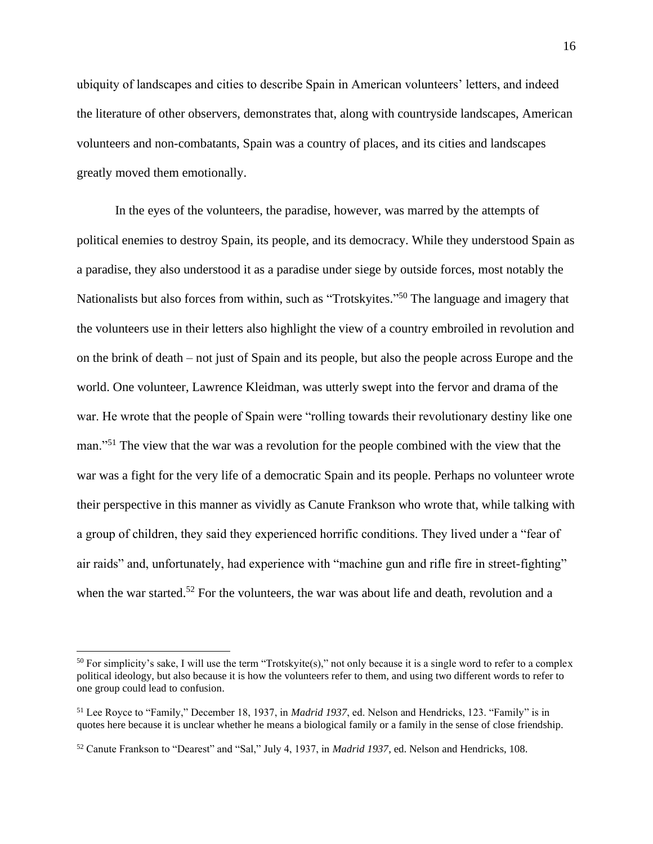ubiquity of landscapes and cities to describe Spain in American volunteers' letters, and indeed the literature of other observers, demonstrates that, along with countryside landscapes, American volunteers and non-combatants, Spain was a country of places, and its cities and landscapes greatly moved them emotionally.

In the eyes of the volunteers, the paradise, however, was marred by the attempts of political enemies to destroy Spain, its people, and its democracy. While they understood Spain as a paradise, they also understood it as a paradise under siege by outside forces, most notably the Nationalists but also forces from within, such as "Trotskyites."<sup>50</sup> The language and imagery that the volunteers use in their letters also highlight the view of a country embroiled in revolution and on the brink of death – not just of Spain and its people, but also the people across Europe and the world. One volunteer, Lawrence Kleidman, was utterly swept into the fervor and drama of the war. He wrote that the people of Spain were "rolling towards their revolutionary destiny like one man."<sup>51</sup> The view that the war was a revolution for the people combined with the view that the war was a fight for the very life of a democratic Spain and its people. Perhaps no volunteer wrote their perspective in this manner as vividly as Canute Frankson who wrote that, while talking with a group of children, they said they experienced horrific conditions. They lived under a "fear of air raids" and, unfortunately, had experience with "machine gun and rifle fire in street-fighting" when the war started.<sup>52</sup> For the volunteers, the war was about life and death, revolution and a

 $50$  For simplicity's sake, I will use the term "Trotskyite(s)," not only because it is a single word to refer to a complex political ideology, but also because it is how the volunteers refer to them, and using two different words to refer to one group could lead to confusion.

<sup>51</sup> Lee Royce to "Family," December 18, 1937, in *Madrid 1937*, ed. Nelson and Hendricks, 123. "Family" is in quotes here because it is unclear whether he means a biological family or a family in the sense of close friendship.

<sup>52</sup> Canute Frankson to "Dearest" and "Sal," July 4, 1937, in *Madrid 1937*, ed. Nelson and Hendricks, 108.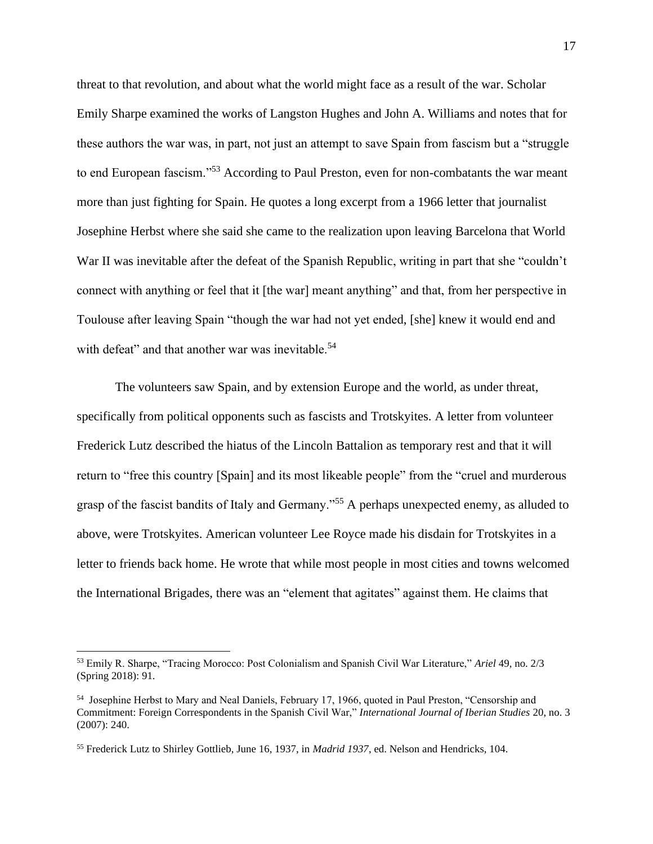threat to that revolution, and about what the world might face as a result of the war. Scholar Emily Sharpe examined the works of Langston Hughes and John A. Williams and notes that for these authors the war was, in part, not just an attempt to save Spain from fascism but a "struggle to end European fascism."<sup>53</sup> According to Paul Preston, even for non-combatants the war meant more than just fighting for Spain. He quotes a long excerpt from a 1966 letter that journalist Josephine Herbst where she said she came to the realization upon leaving Barcelona that World War II was inevitable after the defeat of the Spanish Republic, writing in part that she "couldn't connect with anything or feel that it [the war] meant anything" and that, from her perspective in Toulouse after leaving Spain "though the war had not yet ended, [she] knew it would end and with defeat" and that another war was inevitable.<sup>54</sup>

The volunteers saw Spain, and by extension Europe and the world, as under threat, specifically from political opponents such as fascists and Trotskyites. A letter from volunteer Frederick Lutz described the hiatus of the Lincoln Battalion as temporary rest and that it will return to "free this country [Spain] and its most likeable people" from the "cruel and murderous grasp of the fascist bandits of Italy and Germany."<sup>55</sup> A perhaps unexpected enemy, as alluded to above, were Trotskyites. American volunteer Lee Royce made his disdain for Trotskyites in a letter to friends back home. He wrote that while most people in most cities and towns welcomed the International Brigades, there was an "element that agitates" against them. He claims that

<sup>53</sup> Emily R. Sharpe, "Tracing Morocco: Post Colonialism and Spanish Civil War Literature," *Ariel* 49, no. 2/3 (Spring 2018): 91.

<sup>54</sup> Josephine Herbst to Mary and Neal Daniels, February 17, 1966, quoted in Paul Preston, "Censorship and Commitment: Foreign Correspondents in the Spanish Civil War," *International Journal of Iberian Studies* 20, no. 3 (2007): 240.

<sup>55</sup> Frederick Lutz to Shirley Gottlieb, June 16, 1937, in *Madrid 1937*, ed. Nelson and Hendricks, 104.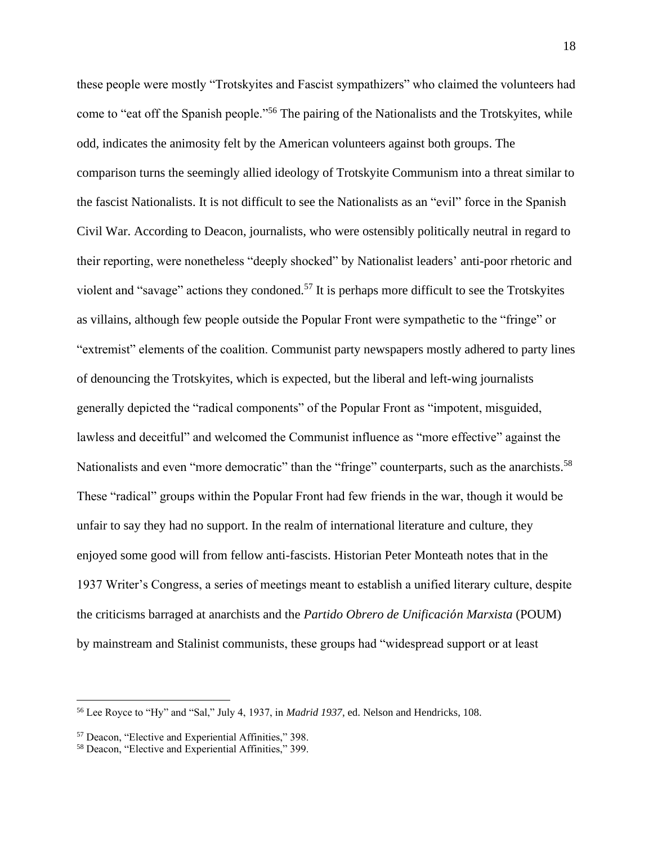these people were mostly "Trotskyites and Fascist sympathizers" who claimed the volunteers had come to "eat off the Spanish people."<sup>56</sup> The pairing of the Nationalists and the Trotskyites, while odd, indicates the animosity felt by the American volunteers against both groups. The comparison turns the seemingly allied ideology of Trotskyite Communism into a threat similar to the fascist Nationalists. It is not difficult to see the Nationalists as an "evil" force in the Spanish Civil War. According to Deacon, journalists, who were ostensibly politically neutral in regard to their reporting, were nonetheless "deeply shocked" by Nationalist leaders' anti-poor rhetoric and violent and "savage" actions they condoned.<sup>57</sup> It is perhaps more difficult to see the Trotskyites as villains, although few people outside the Popular Front were sympathetic to the "fringe" or "extremist" elements of the coalition. Communist party newspapers mostly adhered to party lines of denouncing the Trotskyites, which is expected, but the liberal and left-wing journalists generally depicted the "radical components" of the Popular Front as "impotent, misguided, lawless and deceitful" and welcomed the Communist influence as "more effective" against the Nationalists and even "more democratic" than the "fringe" counterparts, such as the anarchists.<sup>58</sup> These "radical" groups within the Popular Front had few friends in the war, though it would be unfair to say they had no support. In the realm of international literature and culture, they enjoyed some good will from fellow anti-fascists. Historian Peter Monteath notes that in the 1937 Writer's Congress, a series of meetings meant to establish a unified literary culture, despite the criticisms barraged at anarchists and the *Partido Obrero de Unificaci*́*n Marxista* (POUM) by mainstream and Stalinist communists, these groups had "widespread support or at least

<sup>56</sup> Lee Royce to "Hy" and "Sal," July 4, 1937, in *Madrid 1937*, ed. Nelson and Hendricks, 108.

<sup>57</sup> Deacon, "Elective and Experiential Affinities," 398.

<sup>58</sup> Deacon, "Elective and Experiential Affinities," 399.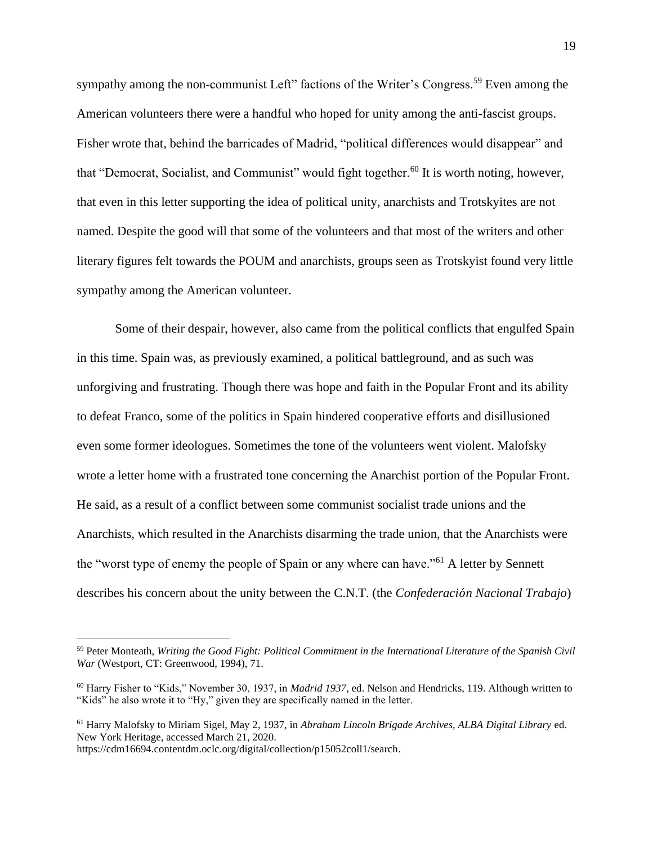sympathy among the non-communist Left" factions of the Writer's Congress.<sup>59</sup> Even among the American volunteers there were a handful who hoped for unity among the anti-fascist groups. Fisher wrote that, behind the barricades of Madrid, "political differences would disappear" and that "Democrat, Socialist, and Communist" would fight together.<sup>60</sup> It is worth noting, however, that even in this letter supporting the idea of political unity, anarchists and Trotskyites are not named. Despite the good will that some of the volunteers and that most of the writers and other literary figures felt towards the POUM and anarchists, groups seen as Trotskyist found very little sympathy among the American volunteer.

Some of their despair, however, also came from the political conflicts that engulfed Spain in this time. Spain was, as previously examined, a political battleground, and as such was unforgiving and frustrating. Though there was hope and faith in the Popular Front and its ability to defeat Franco, some of the politics in Spain hindered cooperative efforts and disillusioned even some former ideologues. Sometimes the tone of the volunteers went violent. Malofsky wrote a letter home with a frustrated tone concerning the Anarchist portion of the Popular Front. He said, as a result of a conflict between some communist socialist trade unions and the Anarchists, which resulted in the Anarchists disarming the trade union, that the Anarchists were the "worst type of enemy the people of Spain or any where can have."<sup>61</sup> A letter by Sennett describes his concern about the unity between the C.N.T. (the *Confederaci*́*n Nacional Trabajo*)

<sup>59</sup> Peter Monteath, *Writing the Good Fight: Political Commitment in the International Literature of the Spanish Civil War* (Westport, CT: Greenwood, 1994), 71.

<sup>60</sup> Harry Fisher to "Kids," November 30, 1937, in *Madrid 1937*, ed. Nelson and Hendricks, 119. Although written to "Kids" he also wrote it to "Hy," given they are specifically named in the letter.

<sup>61</sup> Harry Malofsky to Miriam Sigel, May 2, 1937, in *Abraham Lincoln Brigade Archives, ALBA Digital Library* ed. New York Heritage, accessed March 21, 2020.

https://cdm16694.contentdm.oclc.org/digital/collection/p15052coll1/search.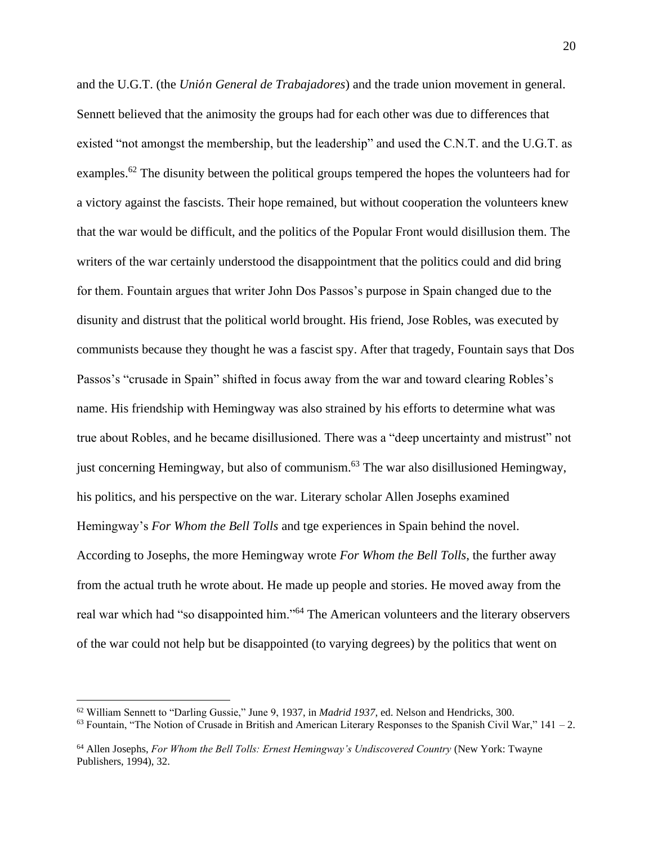and the U.G.T. (the *Uni*́*n General de Trabajadores*) and the trade union movement in general. Sennett believed that the animosity the groups had for each other was due to differences that existed "not amongst the membership, but the leadership" and used the C.N.T. and the U.G.T. as examples.<sup>62</sup> The disunity between the political groups tempered the hopes the volunteers had for a victory against the fascists. Their hope remained, but without cooperation the volunteers knew that the war would be difficult, and the politics of the Popular Front would disillusion them. The writers of the war certainly understood the disappointment that the politics could and did bring for them. Fountain argues that writer John Dos Passos's purpose in Spain changed due to the disunity and distrust that the political world brought. His friend, Jose Robles, was executed by communists because they thought he was a fascist spy. After that tragedy, Fountain says that Dos Passos's "crusade in Spain" shifted in focus away from the war and toward clearing Robles's name. His friendship with Hemingway was also strained by his efforts to determine what was true about Robles, and he became disillusioned. There was a "deep uncertainty and mistrust" not just concerning Hemingway, but also of communism.<sup>63</sup> The war also disillusioned Hemingway, his politics, and his perspective on the war. Literary scholar Allen Josephs examined Hemingway's *For Whom the Bell Tolls* and tge experiences in Spain behind the novel. According to Josephs, the more Hemingway wrote *For Whom the Bell Tolls*, the further away from the actual truth he wrote about. He made up people and stories. He moved away from the real war which had "so disappointed him."<sup>64</sup> The American volunteers and the literary observers of the war could not help but be disappointed (to varying degrees) by the politics that went on

<sup>62</sup> William Sennett to "Darling Gussie," June 9, 1937, in *Madrid 1937*, ed. Nelson and Hendricks, 300.

 $^{63}$  Fountain, "The Notion of Crusade in British and American Literary Responses to the Spanish Civil War," 141 – 2.

<sup>64</sup> Allen Josephs, *For Whom the Bell Tolls: Ernest Hemingway's Undiscovered Country* (New York: Twayne Publishers, 1994), 32.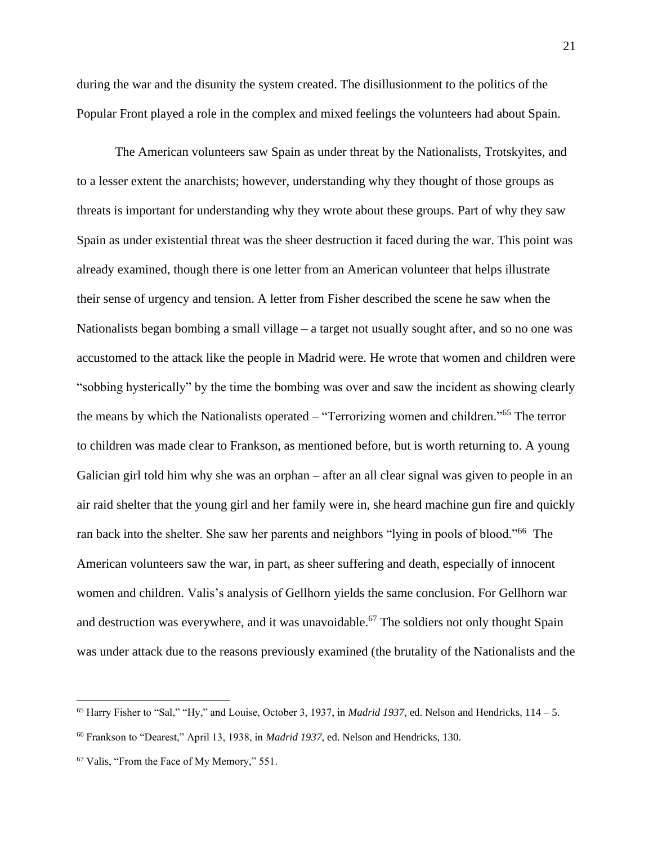during the war and the disunity the system created. The disillusionment to the politics of the Popular Front played a role in the complex and mixed feelings the volunteers had about Spain.

The American volunteers saw Spain as under threat by the Nationalists, Trotskyites, and to a lesser extent the anarchists; however, understanding why they thought of those groups as threats is important for understanding why they wrote about these groups. Part of why they saw Spain as under existential threat was the sheer destruction it faced during the war. This point was already examined, though there is one letter from an American volunteer that helps illustrate their sense of urgency and tension. A letter from Fisher described the scene he saw when the Nationalists began bombing a small village – a target not usually sought after, and so no one was accustomed to the attack like the people in Madrid were. He wrote that women and children were "sobbing hysterically" by the time the bombing was over and saw the incident as showing clearly the means by which the Nationalists operated – "Terrorizing women and children."<sup>65</sup> The terror to children was made clear to Frankson, as mentioned before, but is worth returning to. A young Galician girl told him why she was an orphan – after an all clear signal was given to people in an air raid shelter that the young girl and her family were in, she heard machine gun fire and quickly ran back into the shelter. She saw her parents and neighbors "lying in pools of blood."<sup>66</sup> The American volunteers saw the war, in part, as sheer suffering and death, especially of innocent women and children. Valis's analysis of Gellhorn yields the same conclusion. For Gellhorn war and destruction was everywhere, and it was unavoidable.<sup>67</sup> The soldiers not only thought Spain was under attack due to the reasons previously examined (the brutality of the Nationalists and the

<sup>&</sup>lt;sup>65</sup> Harry Fisher to "Sal," "Hy," and Louise, October 3, 1937, in *Madrid 1937*, ed. Nelson and Hendricks,  $114 - 5$ .

<sup>66</sup> Frankson to "Dearest," April 13, 1938, in *Madrid 1937*, ed. Nelson and Hendricks, 130.

<sup>67</sup> Valis, "From the Face of My Memory," 551.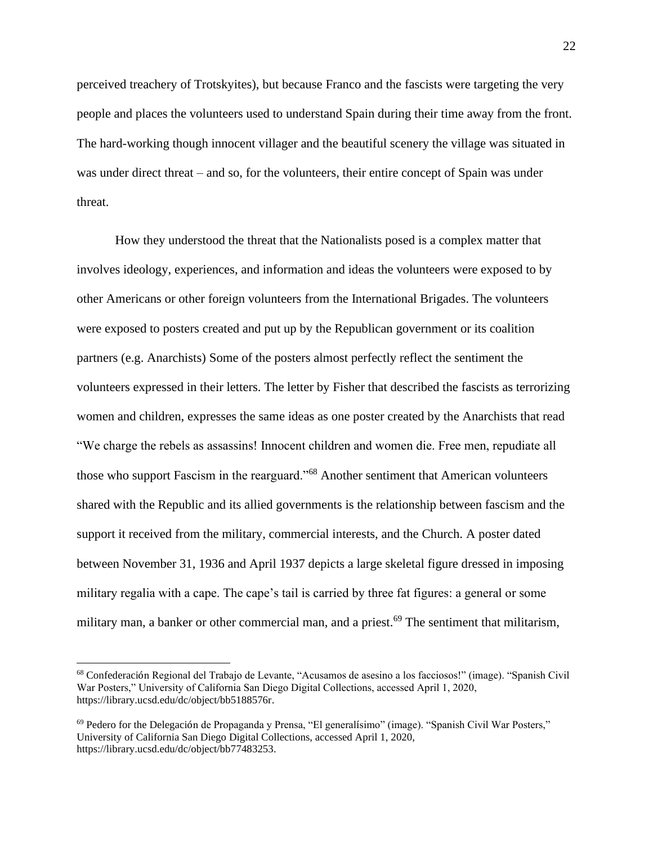perceived treachery of Trotskyites), but because Franco and the fascists were targeting the very people and places the volunteers used to understand Spain during their time away from the front. The hard-working though innocent villager and the beautiful scenery the village was situated in was under direct threat – and so, for the volunteers, their entire concept of Spain was under threat.

How they understood the threat that the Nationalists posed is a complex matter that involves ideology, experiences, and information and ideas the volunteers were exposed to by other Americans or other foreign volunteers from the International Brigades. The volunteers were exposed to posters created and put up by the Republican government or its coalition partners (e.g. Anarchists) Some of the posters almost perfectly reflect the sentiment the volunteers expressed in their letters. The letter by Fisher that described the fascists as terrorizing women and children, expresses the same ideas as one poster created by the Anarchists that read "We charge the rebels as assassins! Innocent children and women die. Free men, repudiate all those who support Fascism in the rearguard."<sup>68</sup> Another sentiment that American volunteers shared with the Republic and its allied governments is the relationship between fascism and the support it received from the military, commercial interests, and the Church. A poster dated between November 31, 1936 and April 1937 depicts a large skeletal figure dressed in imposing military regalia with a cape. The cape's tail is carried by three fat figures: a general or some military man, a banker or other commercial man, and a priest.<sup>69</sup> The sentiment that militarism,

<sup>68</sup> Confederación Regional del Trabajo de Levante, "Acusamos de asesino a los facciosos!" (image). "Spanish Civil War Posters," University of California San Diego Digital Collections, accessed April 1, 2020, https://library.ucsd.edu/dc/object/bb5188576r.

<sup>69</sup> Pedero for the Delegación de Propaganda y Prensa, "El generalísimo" (image). "Spanish Civil War Posters," University of California San Diego Digital Collections, accessed April 1, 2020, https://library.ucsd.edu/dc/object/bb77483253.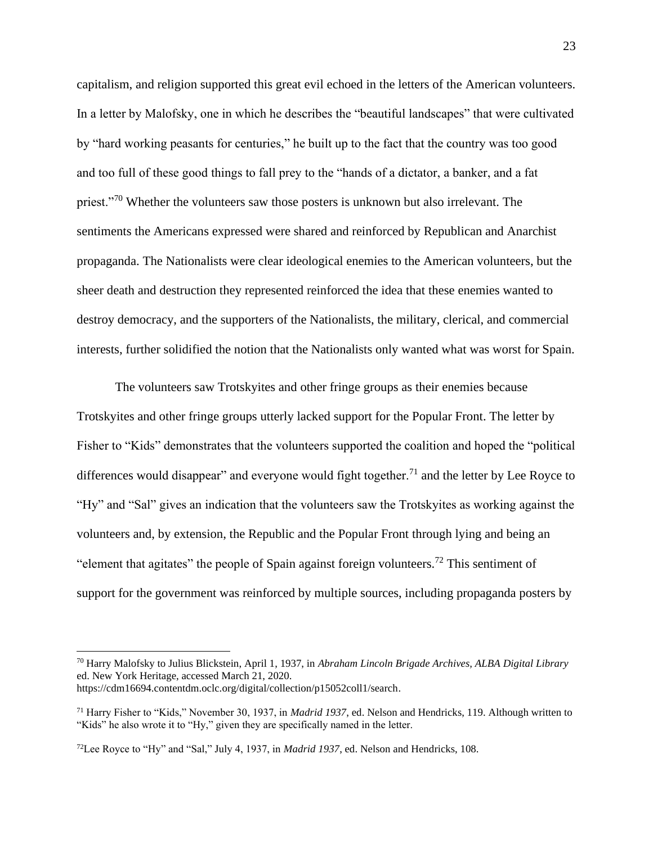capitalism, and religion supported this great evil echoed in the letters of the American volunteers. In a letter by Malofsky, one in which he describes the "beautiful landscapes" that were cultivated by "hard working peasants for centuries," he built up to the fact that the country was too good and too full of these good things to fall prey to the "hands of a dictator, a banker, and a fat priest."<sup>70</sup> Whether the volunteers saw those posters is unknown but also irrelevant. The sentiments the Americans expressed were shared and reinforced by Republican and Anarchist propaganda. The Nationalists were clear ideological enemies to the American volunteers, but the sheer death and destruction they represented reinforced the idea that these enemies wanted to destroy democracy, and the supporters of the Nationalists, the military, clerical, and commercial interests, further solidified the notion that the Nationalists only wanted what was worst for Spain.

The volunteers saw Trotskyites and other fringe groups as their enemies because Trotskyites and other fringe groups utterly lacked support for the Popular Front. The letter by Fisher to "Kids" demonstrates that the volunteers supported the coalition and hoped the "political differences would disappear" and everyone would fight together.<sup>71</sup> and the letter by Lee Royce to "Hy" and "Sal" gives an indication that the volunteers saw the Trotskyites as working against the volunteers and, by extension, the Republic and the Popular Front through lying and being an "element that agitates" the people of Spain against foreign volunteers.<sup>72</sup> This sentiment of support for the government was reinforced by multiple sources, including propaganda posters by

<sup>70</sup> Harry Malofsky to Julius Blickstein, April 1, 1937, in *Abraham Lincoln Brigade Archives, ALBA Digital Library* ed. New York Heritage, accessed March 21, 2020. https://cdm16694.contentdm.oclc.org/digital/collection/p15052coll1/search.

<sup>71</sup> Harry Fisher to "Kids," November 30, 1937, in *Madrid 1937*, ed. Nelson and Hendricks, 119. Although written to "Kids" he also wrote it to "Hy," given they are specifically named in the letter.

<sup>72</sup>Lee Royce to "Hy" and "Sal," July 4, 1937, in *Madrid 1937*, ed. Nelson and Hendricks, 108.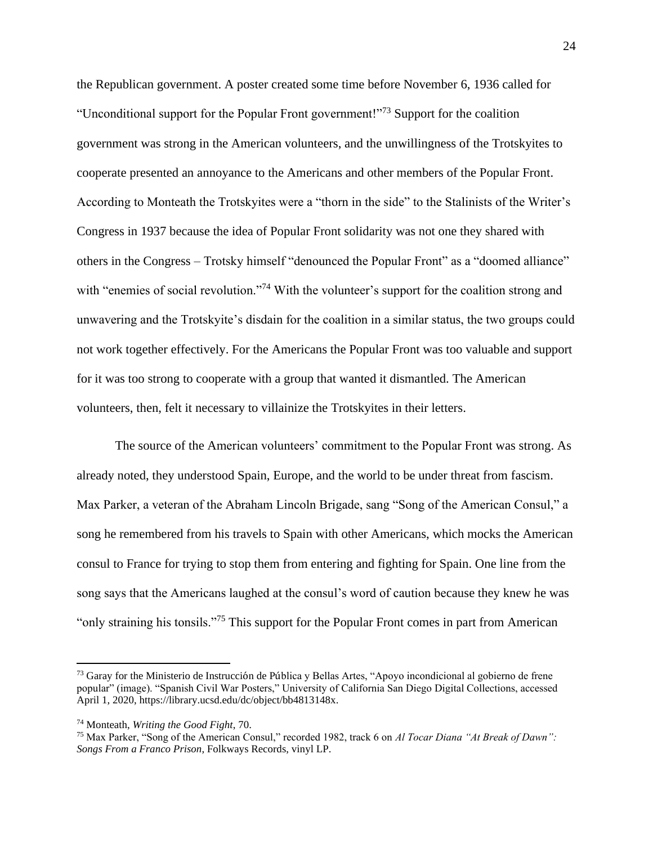the Republican government. A poster created some time before November 6, 1936 called for "Unconditional support for the Popular Front government!"<sup>73</sup> Support for the coalition government was strong in the American volunteers, and the unwillingness of the Trotskyites to cooperate presented an annoyance to the Americans and other members of the Popular Front. According to Monteath the Trotskyites were a "thorn in the side" to the Stalinists of the Writer's Congress in 1937 because the idea of Popular Front solidarity was not one they shared with others in the Congress – Trotsky himself "denounced the Popular Front" as a "doomed alliance" with "enemies of social revolution."<sup>74</sup> With the volunteer's support for the coalition strong and unwavering and the Trotskyite's disdain for the coalition in a similar status, the two groups could not work together effectively. For the Americans the Popular Front was too valuable and support for it was too strong to cooperate with a group that wanted it dismantled. The American volunteers, then, felt it necessary to villainize the Trotskyites in their letters.

The source of the American volunteers' commitment to the Popular Front was strong. As already noted, they understood Spain, Europe, and the world to be under threat from fascism. Max Parker, a veteran of the Abraham Lincoln Brigade, sang "Song of the American Consul," a song he remembered from his travels to Spain with other Americans, which mocks the American consul to France for trying to stop them from entering and fighting for Spain. One line from the song says that the Americans laughed at the consul's word of caution because they knew he was "only straining his tonsils."<sup>75</sup> This support for the Popular Front comes in part from American

<sup>73</sup> Garay for the Ministerio de Instrucción de Pública y Bellas Artes, "Apoyo incondicional al gobierno de frene popular" (image). "Spanish Civil War Posters," University of California San Diego Digital Collections, accessed April 1, 2020, https://library.ucsd.edu/dc/object/bb4813148x.

<sup>74</sup> Monteath, *Writing the Good Fight*, 70.

<sup>75</sup> Max Parker, "Song of the American Consul," recorded 1982, track 6 on *Al Tocar Diana "At Break of Dawn": Songs From a Franco Prison*, Folkways Records, vinyl LP.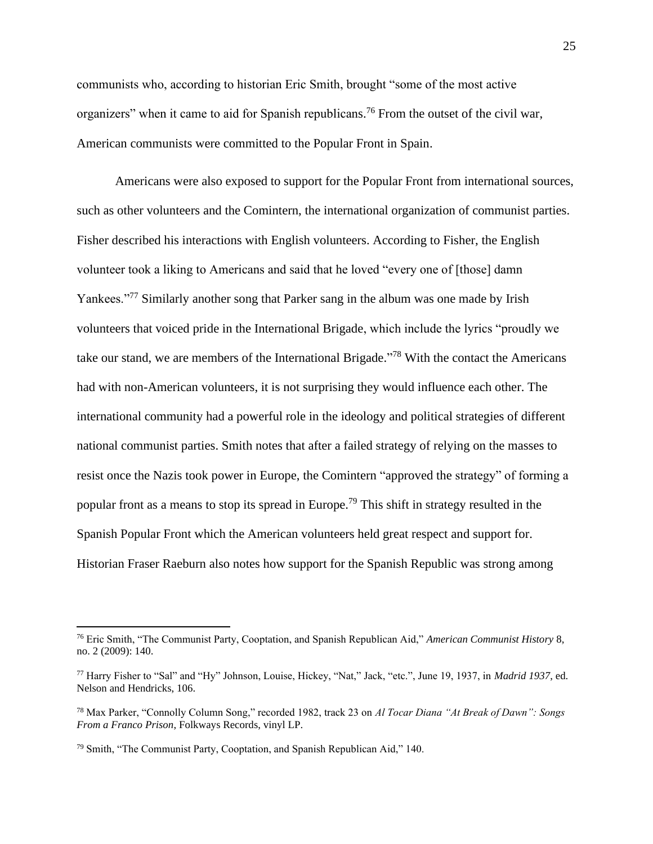communists who, according to historian Eric Smith, brought "some of the most active organizers" when it came to aid for Spanish republicans.<sup>76</sup> From the outset of the civil war, American communists were committed to the Popular Front in Spain.

Americans were also exposed to support for the Popular Front from international sources, such as other volunteers and the Comintern, the international organization of communist parties. Fisher described his interactions with English volunteers. According to Fisher, the English volunteer took a liking to Americans and said that he loved "every one of [those] damn Yankees."<sup>77</sup> Similarly another song that Parker sang in the album was one made by Irish volunteers that voiced pride in the International Brigade, which include the lyrics "proudly we take our stand, we are members of the International Brigade."<sup>78</sup> With the contact the Americans had with non-American volunteers, it is not surprising they would influence each other. The international community had a powerful role in the ideology and political strategies of different national communist parties. Smith notes that after a failed strategy of relying on the masses to resist once the Nazis took power in Europe, the Comintern "approved the strategy" of forming a popular front as a means to stop its spread in Europe.<sup>79</sup> This shift in strategy resulted in the Spanish Popular Front which the American volunteers held great respect and support for. Historian Fraser Raeburn also notes how support for the Spanish Republic was strong among

<sup>76</sup> Eric Smith, "The Communist Party, Cooptation, and Spanish Republican Aid," *American Communist History* 8, no. 2 (2009): 140.

<sup>77</sup> Harry Fisher to "Sal" and "Hy" Johnson, Louise, Hickey, "Nat," Jack, "etc.", June 19, 1937, in *Madrid 1937*, ed. Nelson and Hendricks, 106.

<sup>78</sup> Max Parker, "Connolly Column Song," recorded 1982, track 23 on *Al Tocar Diana "At Break of Dawn": Songs From a Franco Prison*, Folkways Records, vinyl LP.

<sup>79</sup> Smith, "The Communist Party, Cooptation, and Spanish Republican Aid," 140.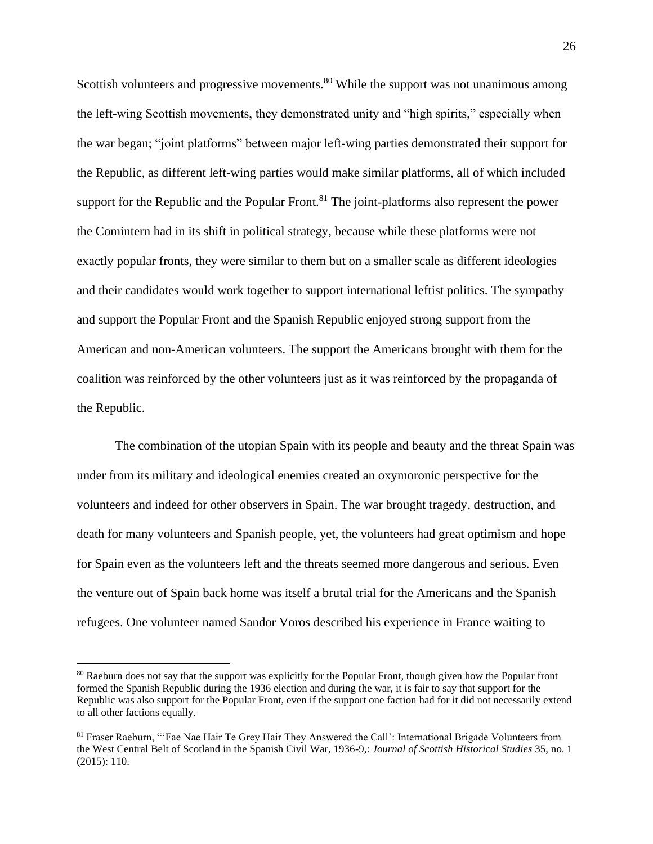Scottish volunteers and progressive movements. $80$  While the support was not unanimous among the left-wing Scottish movements, they demonstrated unity and "high spirits," especially when the war began; "joint platforms" between major left-wing parties demonstrated their support for the Republic, as different left-wing parties would make similar platforms, all of which included support for the Republic and the Popular Front. $81$  The joint-platforms also represent the power the Comintern had in its shift in political strategy, because while these platforms were not exactly popular fronts, they were similar to them but on a smaller scale as different ideologies and their candidates would work together to support international leftist politics. The sympathy and support the Popular Front and the Spanish Republic enjoyed strong support from the American and non-American volunteers. The support the Americans brought with them for the coalition was reinforced by the other volunteers just as it was reinforced by the propaganda of the Republic.

The combination of the utopian Spain with its people and beauty and the threat Spain was under from its military and ideological enemies created an oxymoronic perspective for the volunteers and indeed for other observers in Spain. The war brought tragedy, destruction, and death for many volunteers and Spanish people, yet, the volunteers had great optimism and hope for Spain even as the volunteers left and the threats seemed more dangerous and serious. Even the venture out of Spain back home was itself a brutal trial for the Americans and the Spanish refugees. One volunteer named Sandor Voros described his experience in France waiting to

<sup>&</sup>lt;sup>80</sup> Raeburn does not say that the support was explicitly for the Popular Front, though given how the Popular front formed the Spanish Republic during the 1936 election and during the war, it is fair to say that support for the Republic was also support for the Popular Front, even if the support one faction had for it did not necessarily extend to all other factions equally.

<sup>81</sup> Fraser Raeburn, "'Fae Nae Hair Te Grey Hair They Answered the Call': International Brigade Volunteers from the West Central Belt of Scotland in the Spanish Civil War, 1936-9,: *Journal of Scottish Historical Studies* 35, no. 1 (2015): 110.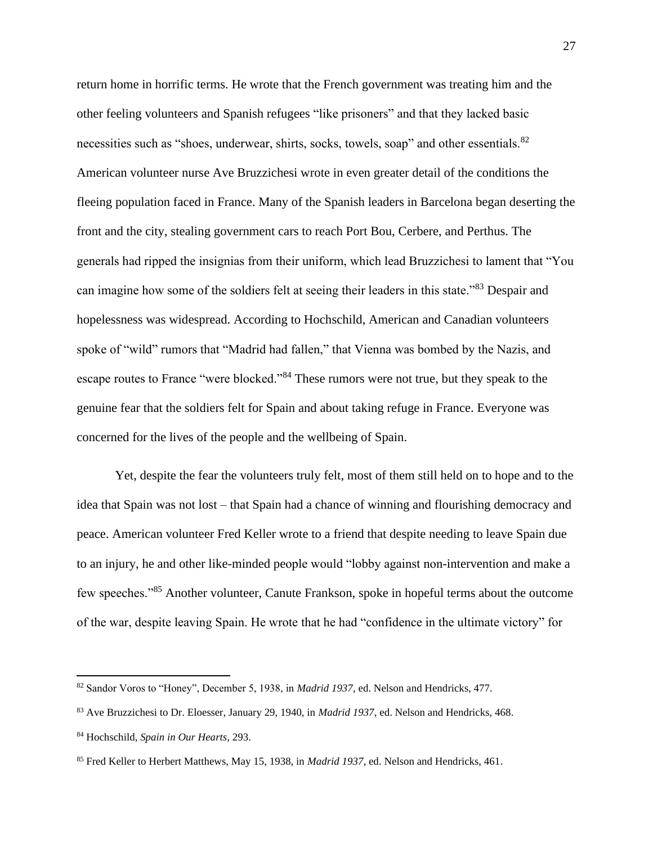return home in horrific terms. He wrote that the French government was treating him and the other feeling volunteers and Spanish refugees "like prisoners" and that they lacked basic necessities such as "shoes, underwear, shirts, socks, towels, soap" and other essentials.<sup>82</sup> American volunteer nurse Ave Bruzzichesi wrote in even greater detail of the conditions the fleeing population faced in France. Many of the Spanish leaders in Barcelona began deserting the front and the city, stealing government cars to reach Port Bou, Cerbere, and Perthus. The generals had ripped the insignias from their uniform, which lead Bruzzichesi to lament that "You can imagine how some of the soldiers felt at seeing their leaders in this state."<sup>83</sup> Despair and hopelessness was widespread. According to Hochschild, American and Canadian volunteers spoke of "wild" rumors that "Madrid had fallen," that Vienna was bombed by the Nazis, and escape routes to France "were blocked."<sup>84</sup> These rumors were not true, but they speak to the genuine fear that the soldiers felt for Spain and about taking refuge in France. Everyone was concerned for the lives of the people and the wellbeing of Spain.

Yet, despite the fear the volunteers truly felt, most of them still held on to hope and to the idea that Spain was not lost – that Spain had a chance of winning and flourishing democracy and peace. American volunteer Fred Keller wrote to a friend that despite needing to leave Spain due to an injury, he and other like-minded people would "lobby against non-intervention and make a few speeches."<sup>85</sup> Another volunteer, Canute Frankson, spoke in hopeful terms about the outcome of the war, despite leaving Spain. He wrote that he had "confidence in the ultimate victory" for

<sup>82</sup> Sandor Voros to "Honey", December 5, 1938, in *Madrid 1937*, ed. Nelson and Hendricks, 477.

<sup>83</sup> Ave Bruzzichesi to Dr. Eloesser, January 29, 1940, in *Madrid 1937*, ed. Nelson and Hendricks, 468.

<sup>84</sup> Hochschild, *Spain in Our Hearts*, 293.

<sup>85</sup> Fred Keller to Herbert Matthews, May 15, 1938, in *Madrid 1937*, ed. Nelson and Hendricks, 461.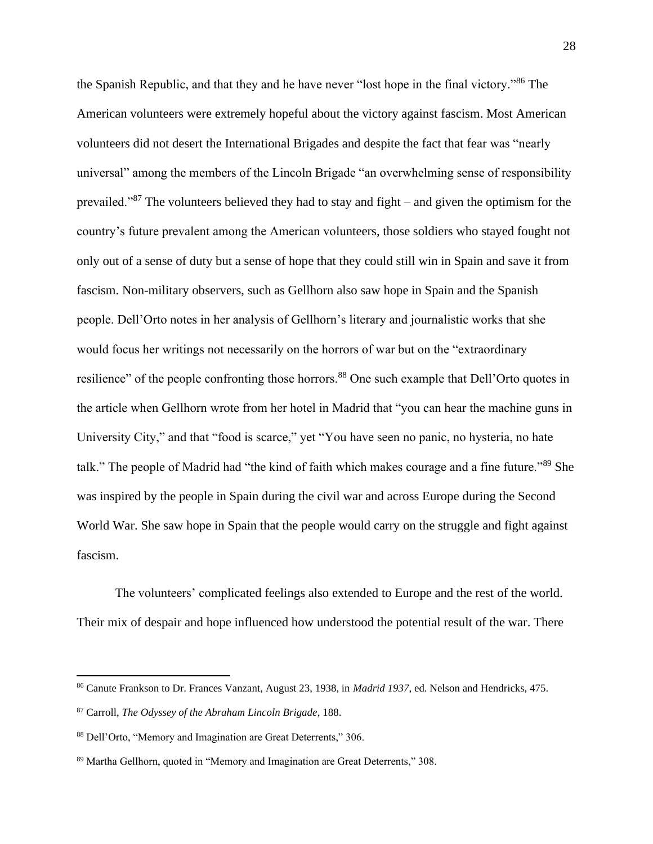the Spanish Republic, and that they and he have never "lost hope in the final victory."<sup>86</sup> The American volunteers were extremely hopeful about the victory against fascism. Most American volunteers did not desert the International Brigades and despite the fact that fear was "nearly universal" among the members of the Lincoln Brigade "an overwhelming sense of responsibility prevailed."<sup>87</sup> The volunteers believed they had to stay and fight – and given the optimism for the country's future prevalent among the American volunteers, those soldiers who stayed fought not only out of a sense of duty but a sense of hope that they could still win in Spain and save it from fascism. Non-military observers, such as Gellhorn also saw hope in Spain and the Spanish people. Dell'Orto notes in her analysis of Gellhorn's literary and journalistic works that she would focus her writings not necessarily on the horrors of war but on the "extraordinary resilience" of the people confronting those horrors.<sup>88</sup> One such example that Dell'Orto quotes in the article when Gellhorn wrote from her hotel in Madrid that "you can hear the machine guns in University City," and that "food is scarce," yet "You have seen no panic, no hysteria, no hate talk." The people of Madrid had "the kind of faith which makes courage and a fine future."<sup>89</sup> She was inspired by the people in Spain during the civil war and across Europe during the Second World War. She saw hope in Spain that the people would carry on the struggle and fight against fascism.

The volunteers' complicated feelings also extended to Europe and the rest of the world. Their mix of despair and hope influenced how understood the potential result of the war. There

<sup>86</sup> Canute Frankson to Dr. Frances Vanzant, August 23, 1938, in *Madrid 1937*, ed. Nelson and Hendricks, 475.

<sup>87</sup> Carroll, *The Odyssey of the Abraham Lincoln Brigade*, 188.

<sup>88</sup> Dell'Orto, "Memory and Imagination are Great Deterrents," 306.

<sup>89</sup> Martha Gellhorn, quoted in "Memory and Imagination are Great Deterrents," 308.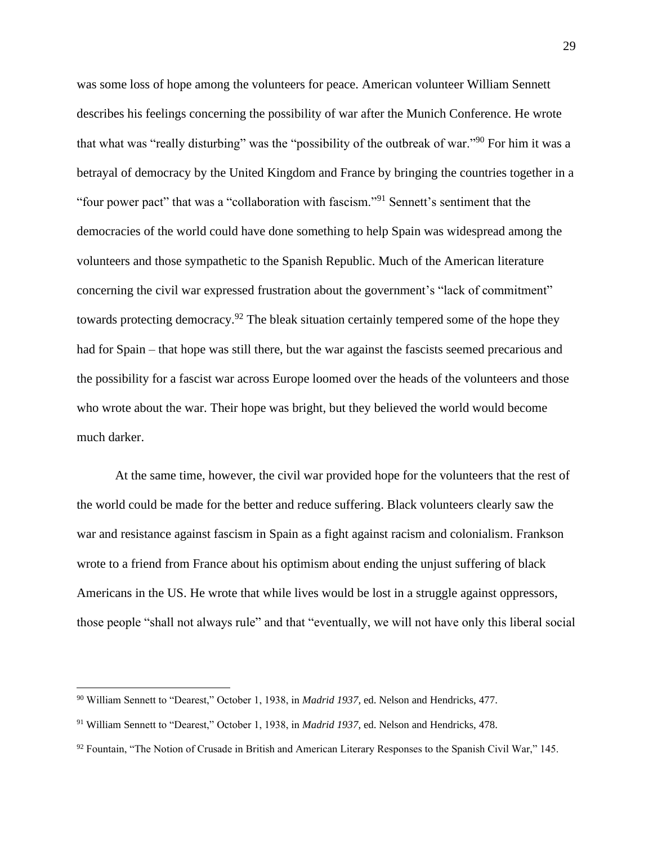was some loss of hope among the volunteers for peace. American volunteer William Sennett describes his feelings concerning the possibility of war after the Munich Conference. He wrote that what was "really disturbing" was the "possibility of the outbreak of war."<sup>90</sup> For him it was a betrayal of democracy by the United Kingdom and France by bringing the countries together in a "four power pact" that was a "collaboration with fascism."<sup>91</sup> Sennett's sentiment that the democracies of the world could have done something to help Spain was widespread among the volunteers and those sympathetic to the Spanish Republic. Much of the American literature concerning the civil war expressed frustration about the government's "lack of commitment" towards protecting democracy.<sup>92</sup> The bleak situation certainly tempered some of the hope they had for Spain – that hope was still there, but the war against the fascists seemed precarious and the possibility for a fascist war across Europe loomed over the heads of the volunteers and those who wrote about the war. Their hope was bright, but they believed the world would become much darker.

At the same time, however, the civil war provided hope for the volunteers that the rest of the world could be made for the better and reduce suffering. Black volunteers clearly saw the war and resistance against fascism in Spain as a fight against racism and colonialism. Frankson wrote to a friend from France about his optimism about ending the unjust suffering of black Americans in the US. He wrote that while lives would be lost in a struggle against oppressors, those people "shall not always rule" and that "eventually, we will not have only this liberal social

<sup>90</sup> William Sennett to "Dearest," October 1, 1938, in *Madrid 1937*, ed. Nelson and Hendricks, 477.

<sup>91</sup> William Sennett to "Dearest," October 1, 1938, in *Madrid 1937*, ed. Nelson and Hendricks, 478.

<sup>&</sup>lt;sup>92</sup> Fountain, "The Notion of Crusade in British and American Literary Responses to the Spanish Civil War," 145.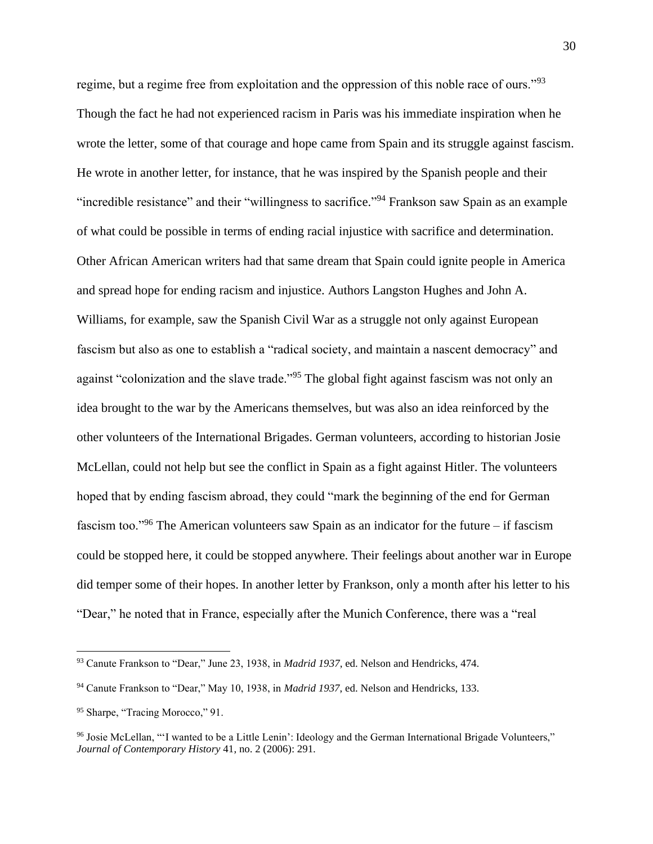regime, but a regime free from exploitation and the oppression of this noble race of ours."<sup>93</sup> Though the fact he had not experienced racism in Paris was his immediate inspiration when he wrote the letter, some of that courage and hope came from Spain and its struggle against fascism. He wrote in another letter, for instance, that he was inspired by the Spanish people and their "incredible resistance" and their "willingness to sacrifice."<sup>94</sup> Frankson saw Spain as an example of what could be possible in terms of ending racial injustice with sacrifice and determination. Other African American writers had that same dream that Spain could ignite people in America and spread hope for ending racism and injustice. Authors Langston Hughes and John A. Williams, for example, saw the Spanish Civil War as a struggle not only against European fascism but also as one to establish a "radical society, and maintain a nascent democracy" and against "colonization and the slave trade."<sup>95</sup> The global fight against fascism was not only an idea brought to the war by the Americans themselves, but was also an idea reinforced by the other volunteers of the International Brigades. German volunteers, according to historian Josie McLellan, could not help but see the conflict in Spain as a fight against Hitler. The volunteers hoped that by ending fascism abroad, they could "mark the beginning of the end for German fascism too."<sup>96</sup> The American volunteers saw Spain as an indicator for the future – if fascism could be stopped here, it could be stopped anywhere. Their feelings about another war in Europe did temper some of their hopes. In another letter by Frankson, only a month after his letter to his "Dear," he noted that in France, especially after the Munich Conference, there was a "real

<sup>93</sup> Canute Frankson to "Dear," June 23, 1938, in *Madrid 1937*, ed. Nelson and Hendricks, 474.

<sup>94</sup> Canute Frankson to "Dear," May 10, 1938, in *Madrid 1937*, ed. Nelson and Hendricks, 133.

<sup>&</sup>lt;sup>95</sup> Sharpe, "Tracing Morocco," 91.

<sup>96</sup> Josie McLellan, "'I wanted to be a Little Lenin': Ideology and the German International Brigade Volunteers," *Journal of Contemporary History* 41, no. 2 (2006): 291.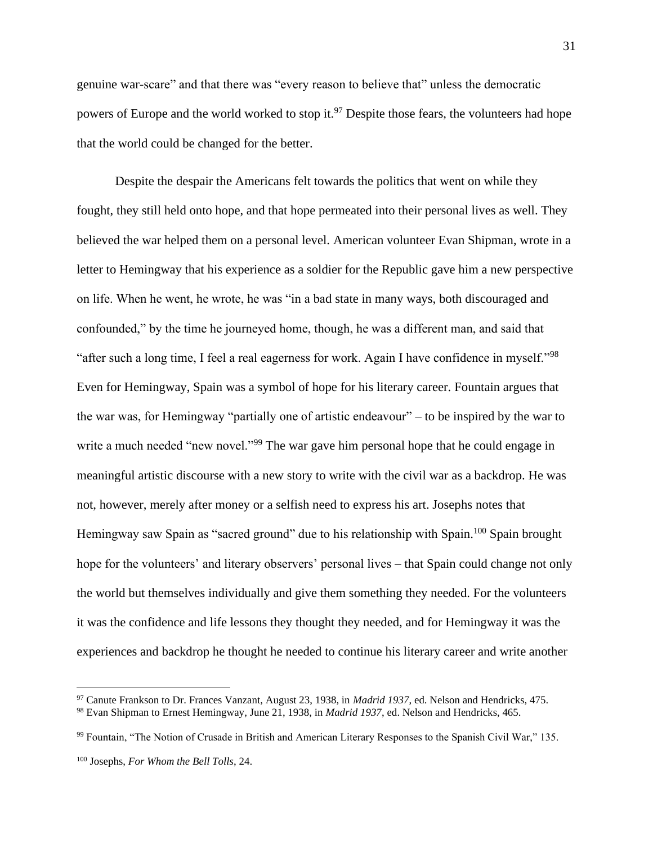genuine war-scare" and that there was "every reason to believe that" unless the democratic powers of Europe and the world worked to stop it.<sup>97</sup> Despite those fears, the volunteers had hope that the world could be changed for the better.

Despite the despair the Americans felt towards the politics that went on while they fought, they still held onto hope, and that hope permeated into their personal lives as well. They believed the war helped them on a personal level. American volunteer Evan Shipman, wrote in a letter to Hemingway that his experience as a soldier for the Republic gave him a new perspective on life. When he went, he wrote, he was "in a bad state in many ways, both discouraged and confounded," by the time he journeyed home, though, he was a different man, and said that "after such a long time, I feel a real eagerness for work. Again I have confidence in myself."<sup>98</sup> Even for Hemingway, Spain was a symbol of hope for his literary career. Fountain argues that the war was, for Hemingway "partially one of artistic endeavour" – to be inspired by the war to write a much needed "new novel."<sup>99</sup> The war gave him personal hope that he could engage in meaningful artistic discourse with a new story to write with the civil war as a backdrop. He was not, however, merely after money or a selfish need to express his art. Josephs notes that Hemingway saw Spain as "sacred ground" due to his relationship with Spain.<sup>100</sup> Spain brought hope for the volunteers' and literary observers' personal lives – that Spain could change not only the world but themselves individually and give them something they needed. For the volunteers it was the confidence and life lessons they thought they needed, and for Hemingway it was the experiences and backdrop he thought he needed to continue his literary career and write another

<sup>99</sup> Fountain, "The Notion of Crusade in British and American Literary Responses to the Spanish Civil War," 135.

<sup>97</sup> Canute Frankson to Dr. Frances Vanzant, August 23, 1938, in *Madrid 1937*, ed. Nelson and Hendricks, 475. <sup>98</sup> Evan Shipman to Ernest Hemingway, June 21, 1938, in *Madrid 1937*, ed. Nelson and Hendricks, 465.

<sup>100</sup> Josephs, *For Whom the Bell Tolls*, 24.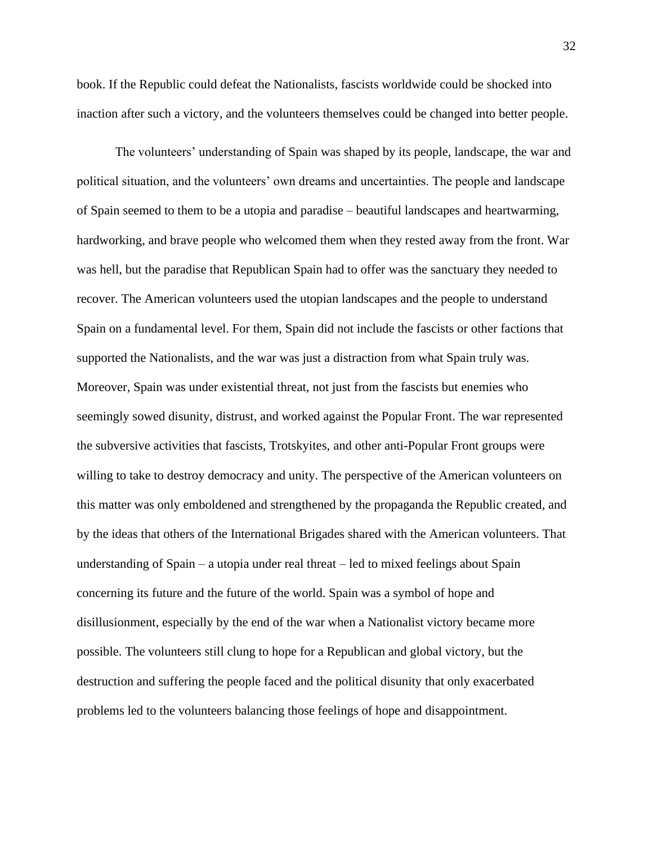book. If the Republic could defeat the Nationalists, fascists worldwide could be shocked into inaction after such a victory, and the volunteers themselves could be changed into better people.

The volunteers' understanding of Spain was shaped by its people, landscape, the war and political situation, and the volunteers' own dreams and uncertainties. The people and landscape of Spain seemed to them to be a utopia and paradise – beautiful landscapes and heartwarming, hardworking, and brave people who welcomed them when they rested away from the front. War was hell, but the paradise that Republican Spain had to offer was the sanctuary they needed to recover. The American volunteers used the utopian landscapes and the people to understand Spain on a fundamental level. For them, Spain did not include the fascists or other factions that supported the Nationalists, and the war was just a distraction from what Spain truly was. Moreover, Spain was under existential threat, not just from the fascists but enemies who seemingly sowed disunity, distrust, and worked against the Popular Front. The war represented the subversive activities that fascists, Trotskyites, and other anti-Popular Front groups were willing to take to destroy democracy and unity. The perspective of the American volunteers on this matter was only emboldened and strengthened by the propaganda the Republic created, and by the ideas that others of the International Brigades shared with the American volunteers. That understanding of Spain – a utopia under real threat – led to mixed feelings about Spain concerning its future and the future of the world. Spain was a symbol of hope and disillusionment, especially by the end of the war when a Nationalist victory became more possible. The volunteers still clung to hope for a Republican and global victory, but the destruction and suffering the people faced and the political disunity that only exacerbated problems led to the volunteers balancing those feelings of hope and disappointment.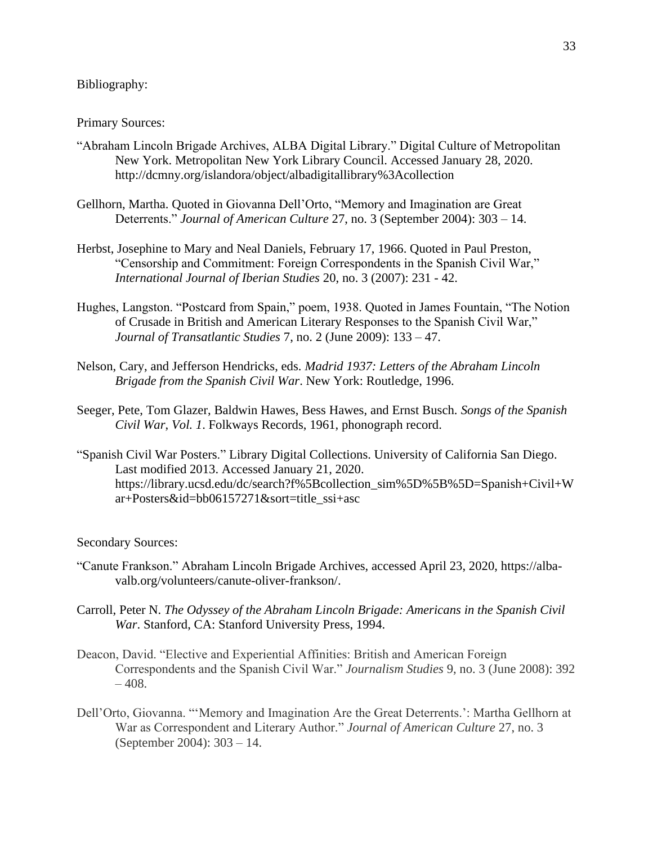## Bibliography:

#### Primary Sources:

- "Abraham Lincoln Brigade Archives, ALBA Digital Library." Digital Culture of Metropolitan New York. Metropolitan New York Library Council. Accessed January 28, 2020. http://dcmny.org/islandora/object/albadigitallibrary%3Acollection
- Gellhorn, Martha. Quoted in Giovanna Dell'Orto, "Memory and Imagination are Great Deterrents." *Journal of American Culture* 27, no. 3 (September 2004): 303 – 14.
- Herbst, Josephine to Mary and Neal Daniels, February 17, 1966. Quoted in Paul Preston, "Censorship and Commitment: Foreign Correspondents in the Spanish Civil War," *International Journal of Iberian Studies* 20, no. 3 (2007): 231 - 42.
- Hughes, Langston. "Postcard from Spain," poem, 1938. Quoted in James Fountain, "The Notion of Crusade in British and American Literary Responses to the Spanish Civil War," *Journal of Transatlantic Studies* 7, no. 2 (June 2009): 133 – 47.
- Nelson, Cary, and Jefferson Hendricks, eds. *Madrid 1937: Letters of the Abraham Lincoln Brigade from the Spanish Civil War*. New York: Routledge, 1996.
- Seeger, Pete, Tom Glazer, Baldwin Hawes, Bess Hawes, and Ernst Busch. *Songs of the Spanish Civil War*, *Vol. 1*. Folkways Records, 1961, phonograph record.
- "Spanish Civil War Posters." Library Digital Collections. University of California San Diego. Last modified 2013. Accessed January 21, 2020. https://library.ucsd.edu/dc/search?f%5Bcollection\_sim%5D%5B%5D=Spanish+Civil+W ar+Posters&id=bb06157271&sort=title\_ssi+asc

#### Secondary Sources:

- "Canute Frankson." Abraham Lincoln Brigade Archives, accessed April 23, 2020, https://albavalb.org/volunteers/canute-oliver-frankson/.
- Carroll, Peter N. *The Odyssey of the Abraham Lincoln Brigade: Americans in the Spanish Civil War*. Stanford, CA: Stanford University Press, 1994.
- Deacon, David. "Elective and Experiential Affinities: British and American Foreign Correspondents and the Spanish Civil War." *Journalism Studies* 9, no. 3 (June 2008): 392  $-408.$
- Dell'Orto, Giovanna. "'Memory and Imagination Are the Great Deterrents.': Martha Gellhorn at War as Correspondent and Literary Author." *Journal of American Culture* 27, no. 3 (September 2004): 303 – 14.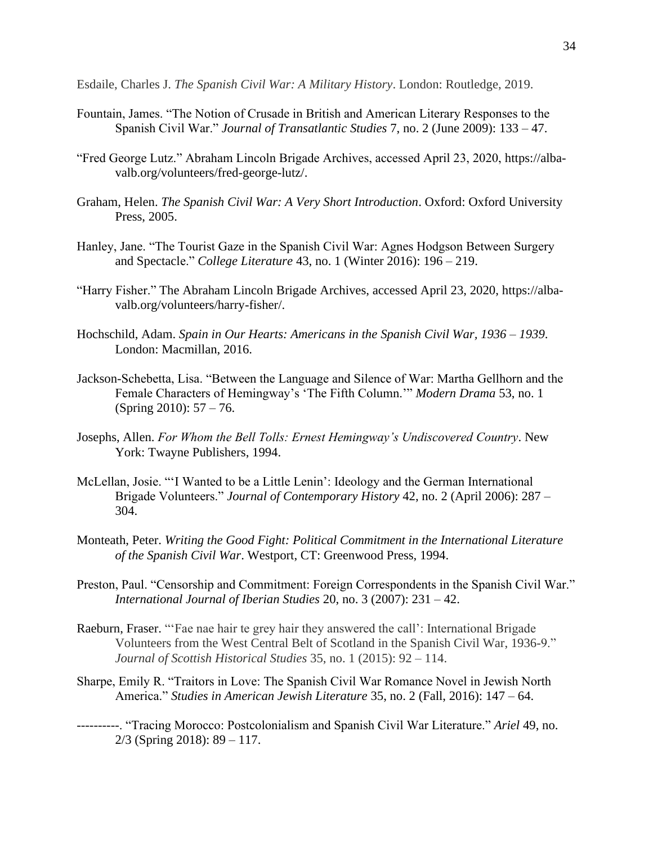Esdaile, Charles J. *The Spanish Civil War: A Military History*. London: Routledge, 2019.

- Fountain, James. "The Notion of Crusade in British and American Literary Responses to the Spanish Civil War." *Journal of Transatlantic Studies* 7, no. 2 (June 2009): 133 – 47.
- "Fred George Lutz." Abraham Lincoln Brigade Archives, accessed April 23, 2020, https://albavalb.org/volunteers/fred-george-lutz/.
- Graham, Helen. *The Spanish Civil War: A Very Short Introduction*. Oxford: Oxford University Press, 2005.
- Hanley, Jane. "The Tourist Gaze in the Spanish Civil War: Agnes Hodgson Between Surgery and Spectacle." *College Literature* 43, no. 1 (Winter 2016): 196 – 219.
- "Harry Fisher." The Abraham Lincoln Brigade Archives, accessed April 23, 2020, https://albavalb.org/volunteers/harry-fisher/.
- Hochschild, Adam. *Spain in Our Hearts: Americans in the Spanish Civil War, 1936 – 1939*. London: Macmillan, 2016.
- Jackson-Schebetta, Lisa. "Between the Language and Silence of War: Martha Gellhorn and the Female Characters of Hemingway's 'The Fifth Column.'" *Modern Drama* 53, no. 1 (Spring 2010): 57 – 76.
- Josephs, Allen. *For Whom the Bell Tolls: Ernest Hemingway's Undiscovered Country*. New York: Twayne Publishers, 1994.
- McLellan, Josie. "'I Wanted to be a Little Lenin': Ideology and the German International Brigade Volunteers." *Journal of Contemporary History* 42, no. 2 (April 2006): 287 – 304.
- Monteath, Peter. *Writing the Good Fight: Political Commitment in the International Literature of the Spanish Civil War*. Westport, CT: Greenwood Press, 1994.
- Preston, Paul. "Censorship and Commitment: Foreign Correspondents in the Spanish Civil War." *International Journal of Iberian Studies* 20, no. 3 (2007): 231 – 42.
- Raeburn, Fraser. "'Fae nae hair te grey hair they answered the call': International Brigade Volunteers from the West Central Belt of Scotland in the Spanish Civil War, 1936-9." *Journal of Scottish Historical Studies* 35, no. 1 (2015): 92 – 114.
- Sharpe, Emily R. "Traitors in Love: The Spanish Civil War Romance Novel in Jewish North America." *Studies in American Jewish Literature* 35, no. 2 (Fall, 2016): 147 – 64.
- ----------. "Tracing Morocco: Postcolonialism and Spanish Civil War Literature." *Ariel* 49, no. 2/3 (Spring 2018): 89 – 117.